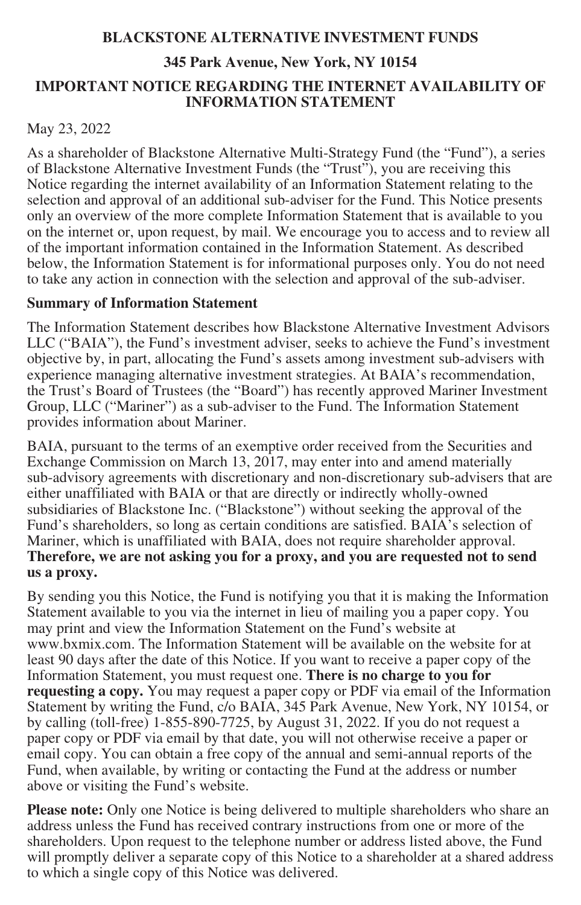# **BLACKSTONE ALTERNATIVE INVESTMENT FUNDS**

### **345 Park Avenue, New York, NY 10154**

### **IMPORTANT NOTICE REGARDING THE INTERNET AVAILABILITY OF INFORMATION STATEMENT**

# May 23, 2022

As a shareholder of Blackstone Alternative Multi-Strategy Fund (the "Fund"), a series of Blackstone Alternative Investment Funds (the "Trust"), you are receiving this Notice regarding the internet availability of an Information Statement relating to the selection and approval of an additional sub-adviser for the Fund. This Notice presents only an overview of the more complete Information Statement that is available to you on the internet or, upon request, by mail. We encourage you to access and to review all of the important information contained in the Information Statement. As described below, the Information Statement is for informational purposes only. You do not need to take any action in connection with the selection and approval of the sub-adviser.

# **Summary of Information Statement**

The Information Statement describes how Blackstone Alternative Investment Advisors LLC ("BAIA"), the Fund's investment adviser, seeks to achieve the Fund's investment objective by, in part, allocating the Fund's assets among investment sub-advisers with experience managing alternative investment strategies. At BAIA's recommendation, the Trust's Board of Trustees (the "Board") has recently approved Mariner Investment Group, LLC ("Mariner") as a sub-adviser to the Fund. The Information Statement provides information about Mariner.

BAIA, pursuant to the terms of an exemptive order received from the Securities and Exchange Commission on March 13, 2017, may enter into and amend materially sub-advisory agreements with discretionary and non-discretionary sub-advisers that are either unaffiliated with BAIA or that are directly or indirectly wholly-owned subsidiaries of Blackstone Inc. ("Blackstone") without seeking the approval of the Fund's shareholders, so long as certain conditions are satisfied. BAIA's selection of Mariner, which is unaffiliated with BAIA, does not require shareholder approval. **Therefore, we are not asking you for a proxy, and you are requested not to send us a proxy.**

By sending you this Notice, the Fund is notifying you that it is making the Information Statement available to you via the internet in lieu of mailing you a paper copy. You may print and view the Information Statement on the Fund's website at www.bxmix.com. The Information Statement will be available on the website for at least 90 days after the date of this Notice. If you want to receive a paper copy of the Information Statement, you must request one. **There is no charge to you for requesting a copy.** You may request a paper copy or PDF via email of the Information Statement by writing the Fund, c/o BAIA, 345 Park Avenue, New York, NY 10154, or by calling (toll-free) 1-855-890-7725, by August 31, 2022. If you do not request a paper copy or PDF via email by that date, you will not otherwise receive a paper or email copy. You can obtain a free copy of the annual and semi-annual reports of the Fund, when available, by writing or contacting the Fund at the address or number above or visiting the Fund's website.

**Please note:** Only one Notice is being delivered to multiple shareholders who share an address unless the Fund has received contrary instructions from one or more of the shareholders. Upon request to the telephone number or address listed above, the Fund will promptly deliver a separate copy of this Notice to a shareholder at a shared address to which a single copy of this Notice was delivered.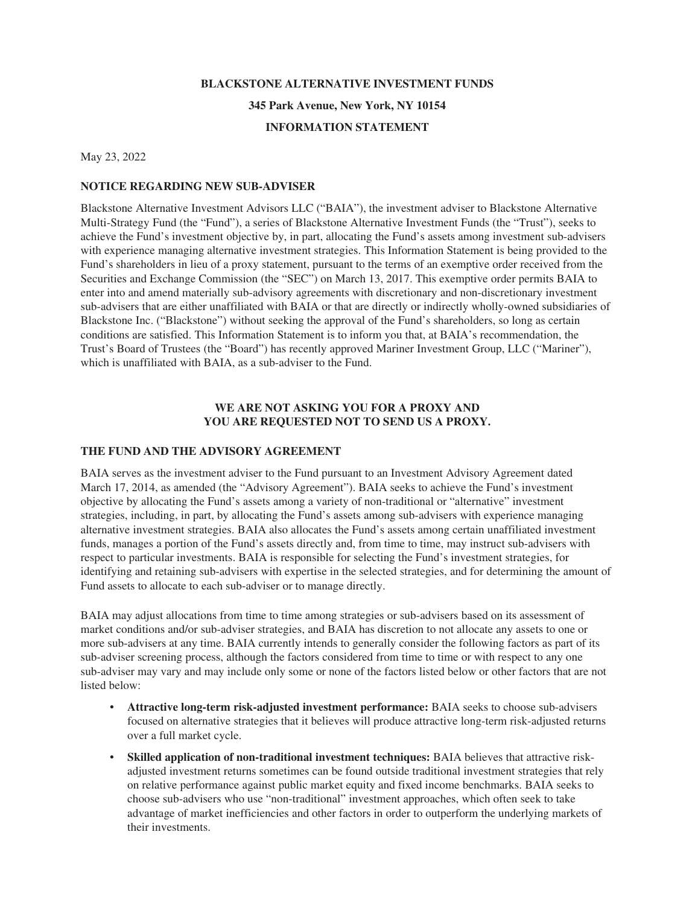# **BLACKSTONE ALTERNATIVE INVESTMENT FUNDS**

**345 Park Avenue, New York, NY 10154**

# **INFORMATION STATEMENT**

May 23, 2022

### **NOTICE REGARDING NEW SUB-ADVISER**

Blackstone Alternative Investment Advisors LLC ("BAIA"), the investment adviser to Blackstone Alternative Multi-Strategy Fund (the "Fund"), a series of Blackstone Alternative Investment Funds (the "Trust"), seeks to achieve the Fund's investment objective by, in part, allocating the Fund's assets among investment sub-advisers with experience managing alternative investment strategies. This Information Statement is being provided to the Fund's shareholders in lieu of a proxy statement, pursuant to the terms of an exemptive order received from the Securities and Exchange Commission (the "SEC") on March 13, 2017. This exemptive order permits BAIA to enter into and amend materially sub-advisory agreements with discretionary and non-discretionary investment sub-advisers that are either unaffiliated with BAIA or that are directly or indirectly wholly-owned subsidiaries of Blackstone Inc. ("Blackstone") without seeking the approval of the Fund's shareholders, so long as certain conditions are satisfied. This Information Statement is to inform you that, at BAIA's recommendation, the Trust's Board of Trustees (the "Board") has recently approved Mariner Investment Group, LLC ("Mariner"), which is unaffiliated with BAIA, as a sub-adviser to the Fund.

# **WE ARE NOT ASKING YOU FOR A PROXY AND YOU ARE REQUESTED NOT TO SEND US A PROXY.**

# **THE FUND AND THE ADVISORY AGREEMENT**

BAIA serves as the investment adviser to the Fund pursuant to an Investment Advisory Agreement dated March 17, 2014, as amended (the "Advisory Agreement"). BAIA seeks to achieve the Fund's investment objective by allocating the Fund's assets among a variety of non-traditional or "alternative" investment strategies, including, in part, by allocating the Fund's assets among sub-advisers with experience managing alternative investment strategies. BAIA also allocates the Fund's assets among certain unaffiliated investment funds, manages a portion of the Fund's assets directly and, from time to time, may instruct sub-advisers with respect to particular investments. BAIA is responsible for selecting the Fund's investment strategies, for identifying and retaining sub-advisers with expertise in the selected strategies, and for determining the amount of Fund assets to allocate to each sub-adviser or to manage directly.

BAIA may adjust allocations from time to time among strategies or sub-advisers based on its assessment of market conditions and/or sub-adviser strategies, and BAIA has discretion to not allocate any assets to one or more sub-advisers at any time. BAIA currently intends to generally consider the following factors as part of its sub-adviser screening process, although the factors considered from time to time or with respect to any one sub-adviser may vary and may include only some or none of the factors listed below or other factors that are not listed below:

- **Attractive long-term risk-adjusted investment performance:** BAIA seeks to choose sub-advisers focused on alternative strategies that it believes will produce attractive long-term risk-adjusted returns over a full market cycle.
- **Skilled application of non-traditional investment techniques:** BAIA believes that attractive riskadjusted investment returns sometimes can be found outside traditional investment strategies that rely on relative performance against public market equity and fixed income benchmarks. BAIA seeks to choose sub-advisers who use "non-traditional" investment approaches, which often seek to take advantage of market inefficiencies and other factors in order to outperform the underlying markets of their investments.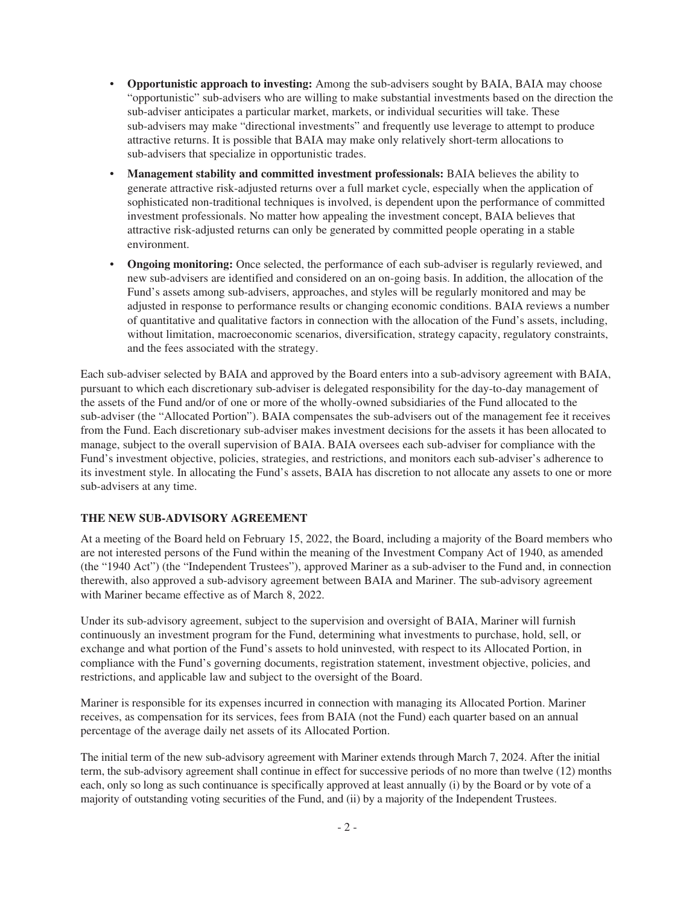- **Opportunistic approach to investing:** Among the sub-advisers sought by BAIA, BAIA may choose "opportunistic" sub-advisers who are willing to make substantial investments based on the direction the sub-adviser anticipates a particular market, markets, or individual securities will take. These sub-advisers may make "directional investments" and frequently use leverage to attempt to produce attractive returns. It is possible that BAIA may make only relatively short-term allocations to sub-advisers that specialize in opportunistic trades.
- **Management stability and committed investment professionals:** BAIA believes the ability to generate attractive risk-adjusted returns over a full market cycle, especially when the application of sophisticated non-traditional techniques is involved, is dependent upon the performance of committed investment professionals. No matter how appealing the investment concept, BAIA believes that attractive risk-adjusted returns can only be generated by committed people operating in a stable environment.
- **Ongoing monitoring:** Once selected, the performance of each sub-adviser is regularly reviewed, and new sub-advisers are identified and considered on an on-going basis. In addition, the allocation of the Fund's assets among sub-advisers, approaches, and styles will be regularly monitored and may be adjusted in response to performance results or changing economic conditions. BAIA reviews a number of quantitative and qualitative factors in connection with the allocation of the Fund's assets, including, without limitation, macroeconomic scenarios, diversification, strategy capacity, regulatory constraints, and the fees associated with the strategy.

Each sub-adviser selected by BAIA and approved by the Board enters into a sub-advisory agreement with BAIA, pursuant to which each discretionary sub-adviser is delegated responsibility for the day-to-day management of the assets of the Fund and/or of one or more of the wholly-owned subsidiaries of the Fund allocated to the sub-adviser (the "Allocated Portion"). BAIA compensates the sub-advisers out of the management fee it receives from the Fund. Each discretionary sub-adviser makes investment decisions for the assets it has been allocated to manage, subject to the overall supervision of BAIA. BAIA oversees each sub-adviser for compliance with the Fund's investment objective, policies, strategies, and restrictions, and monitors each sub-adviser's adherence to its investment style. In allocating the Fund's assets, BAIA has discretion to not allocate any assets to one or more sub-advisers at any time.

# **THE NEW SUB-ADVISORY AGREEMENT**

At a meeting of the Board held on February 15, 2022, the Board, including a majority of the Board members who are not interested persons of the Fund within the meaning of the Investment Company Act of 1940, as amended (the "1940 Act") (the "Independent Trustees"), approved Mariner as a sub-adviser to the Fund and, in connection therewith, also approved a sub-advisory agreement between BAIA and Mariner. The sub-advisory agreement with Mariner became effective as of March 8, 2022.

Under its sub-advisory agreement, subject to the supervision and oversight of BAIA, Mariner will furnish continuously an investment program for the Fund, determining what investments to purchase, hold, sell, or exchange and what portion of the Fund's assets to hold uninvested, with respect to its Allocated Portion, in compliance with the Fund's governing documents, registration statement, investment objective, policies, and restrictions, and applicable law and subject to the oversight of the Board.

Mariner is responsible for its expenses incurred in connection with managing its Allocated Portion. Mariner receives, as compensation for its services, fees from BAIA (not the Fund) each quarter based on an annual percentage of the average daily net assets of its Allocated Portion.

The initial term of the new sub-advisory agreement with Mariner extends through March 7, 2024. After the initial term, the sub-advisory agreement shall continue in effect for successive periods of no more than twelve (12) months each, only so long as such continuance is specifically approved at least annually (i) by the Board or by vote of a majority of outstanding voting securities of the Fund, and (ii) by a majority of the Independent Trustees.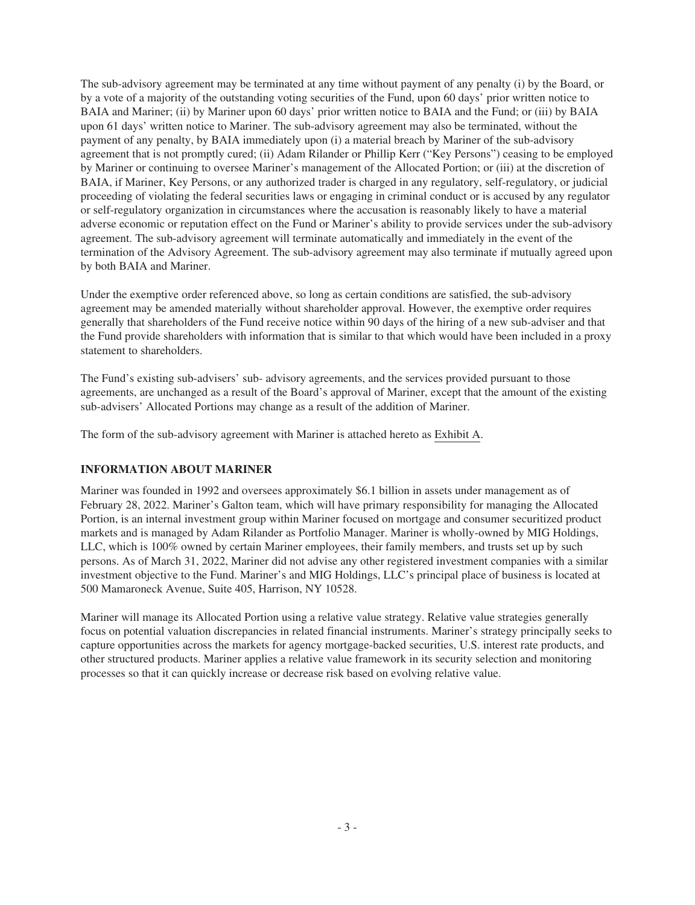The sub-advisory agreement may be terminated at any time without payment of any penalty (i) by the Board, or by a vote of a majority of the outstanding voting securities of the Fund, upon 60 days' prior written notice to BAIA and Mariner; (ii) by Mariner upon 60 days' prior written notice to BAIA and the Fund; or (iii) by BAIA upon 61 days' written notice to Mariner. The sub-advisory agreement may also be terminated, without the payment of any penalty, by BAIA immediately upon (i) a material breach by Mariner of the sub-advisory agreement that is not promptly cured; (ii) Adam Rilander or Phillip Kerr ("Key Persons") ceasing to be employed by Mariner or continuing to oversee Mariner's management of the Allocated Portion; or (iii) at the discretion of BAIA, if Mariner, Key Persons, or any authorized trader is charged in any regulatory, self-regulatory, or judicial proceeding of violating the federal securities laws or engaging in criminal conduct or is accused by any regulator or self-regulatory organization in circumstances where the accusation is reasonably likely to have a material adverse economic or reputation effect on the Fund or Mariner's ability to provide services under the sub-advisory agreement. The sub-advisory agreement will terminate automatically and immediately in the event of the termination of the Advisory Agreement. The sub-advisory agreement may also terminate if mutually agreed upon by both BAIA and Mariner.

Under the exemptive order referenced above, so long as certain conditions are satisfied, the sub-advisory agreement may be amended materially without shareholder approval. However, the exemptive order requires generally that shareholders of the Fund receive notice within 90 days of the hiring of a new sub-adviser and that the Fund provide shareholders with information that is similar to that which would have been included in a proxy statement to shareholders.

The Fund's existing sub-advisers' sub- advisory agreements, and the services provided pursuant to those agreements, are unchanged as a result of the Board's approval of Mariner, except that the amount of the existing sub-advisers' Allocated Portions may change as a result of the addition of Mariner.

The form of the sub-advisory agreement with Mariner is attached hereto as Exhibit A.

# **INFORMATION ABOUT MARINER**

Mariner was founded in 1992 and oversees approximately \$6.1 billion in assets under management as of February 28, 2022. Mariner's Galton team, which will have primary responsibility for managing the Allocated Portion, is an internal investment group within Mariner focused on mortgage and consumer securitized product markets and is managed by Adam Rilander as Portfolio Manager. Mariner is wholly-owned by MIG Holdings, LLC, which is 100% owned by certain Mariner employees, their family members, and trusts set up by such persons. As of March 31, 2022, Mariner did not advise any other registered investment companies with a similar investment objective to the Fund. Mariner's and MIG Holdings, LLC's principal place of business is located at 500 Mamaroneck Avenue, Suite 405, Harrison, NY 10528.

Mariner will manage its Allocated Portion using a relative value strategy. Relative value strategies generally focus on potential valuation discrepancies in related financial instruments. Mariner's strategy principally seeks to capture opportunities across the markets for agency mortgage-backed securities, U.S. interest rate products, and other structured products. Mariner applies a relative value framework in its security selection and monitoring processes so that it can quickly increase or decrease risk based on evolving relative value.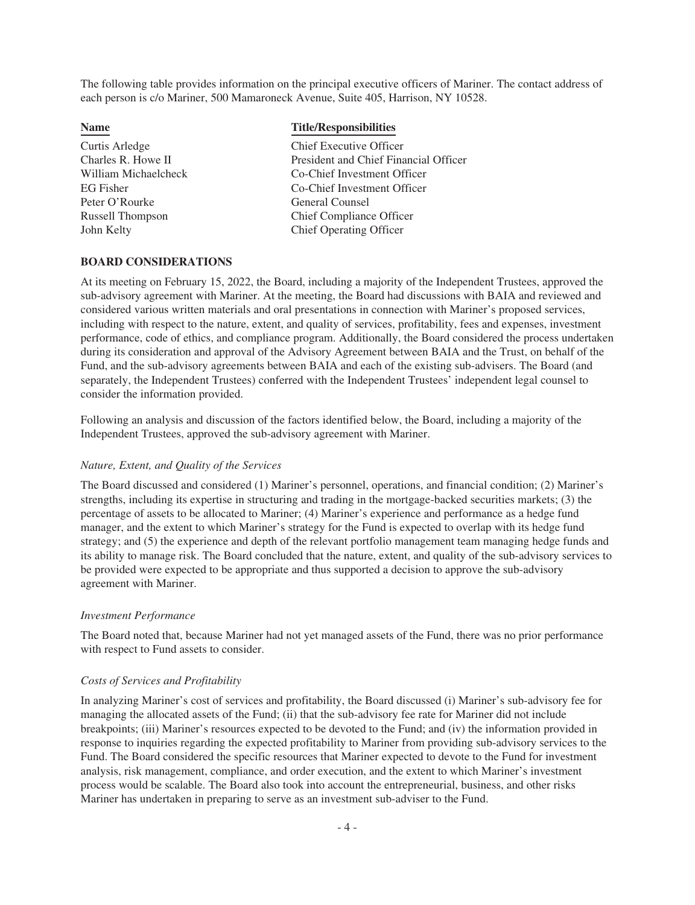The following table provides information on the principal executive officers of Mariner. The contact address of each person is c/o Mariner, 500 Mamaroneck Avenue, Suite 405, Harrison, NY 10528.

| <b>Name</b>          | <b>Title/Responsibilities</b>         |
|----------------------|---------------------------------------|
| Curtis Arledge       | Chief Executive Officer               |
| Charles R. Howe II   | President and Chief Financial Officer |
| William Michaelcheck | Co-Chief Investment Officer           |
| <b>EG</b> Fisher     | Co-Chief Investment Officer           |
| Peter O'Rourke       | General Counsel                       |
| Russell Thompson     | <b>Chief Compliance Officer</b>       |
| John Kelty           | <b>Chief Operating Officer</b>        |
|                      |                                       |

#### **BOARD CONSIDERATIONS**

At its meeting on February 15, 2022, the Board, including a majority of the Independent Trustees, approved the sub-advisory agreement with Mariner. At the meeting, the Board had discussions with BAIA and reviewed and considered various written materials and oral presentations in connection with Mariner's proposed services, including with respect to the nature, extent, and quality of services, profitability, fees and expenses, investment performance, code of ethics, and compliance program. Additionally, the Board considered the process undertaken during its consideration and approval of the Advisory Agreement between BAIA and the Trust, on behalf of the Fund, and the sub-advisory agreements between BAIA and each of the existing sub-advisers. The Board (and separately, the Independent Trustees) conferred with the Independent Trustees' independent legal counsel to consider the information provided.

Following an analysis and discussion of the factors identified below, the Board, including a majority of the Independent Trustees, approved the sub-advisory agreement with Mariner.

### *Nature, Extent, and Quality of the Services*

The Board discussed and considered (1) Mariner's personnel, operations, and financial condition; (2) Mariner's strengths, including its expertise in structuring and trading in the mortgage-backed securities markets; (3) the percentage of assets to be allocated to Mariner; (4) Mariner's experience and performance as a hedge fund manager, and the extent to which Mariner's strategy for the Fund is expected to overlap with its hedge fund strategy; and (5) the experience and depth of the relevant portfolio management team managing hedge funds and its ability to manage risk. The Board concluded that the nature, extent, and quality of the sub-advisory services to be provided were expected to be appropriate and thus supported a decision to approve the sub-advisory agreement with Mariner.

#### *Investment Performance*

The Board noted that, because Mariner had not yet managed assets of the Fund, there was no prior performance with respect to Fund assets to consider.

### *Costs of Services and Profitability*

In analyzing Mariner's cost of services and profitability, the Board discussed (i) Mariner's sub-advisory fee for managing the allocated assets of the Fund; (ii) that the sub-advisory fee rate for Mariner did not include breakpoints; (iii) Mariner's resources expected to be devoted to the Fund; and (iv) the information provided in response to inquiries regarding the expected profitability to Mariner from providing sub-advisory services to the Fund. The Board considered the specific resources that Mariner expected to devote to the Fund for investment analysis, risk management, compliance, and order execution, and the extent to which Mariner's investment process would be scalable. The Board also took into account the entrepreneurial, business, and other risks Mariner has undertaken in preparing to serve as an investment sub-adviser to the Fund.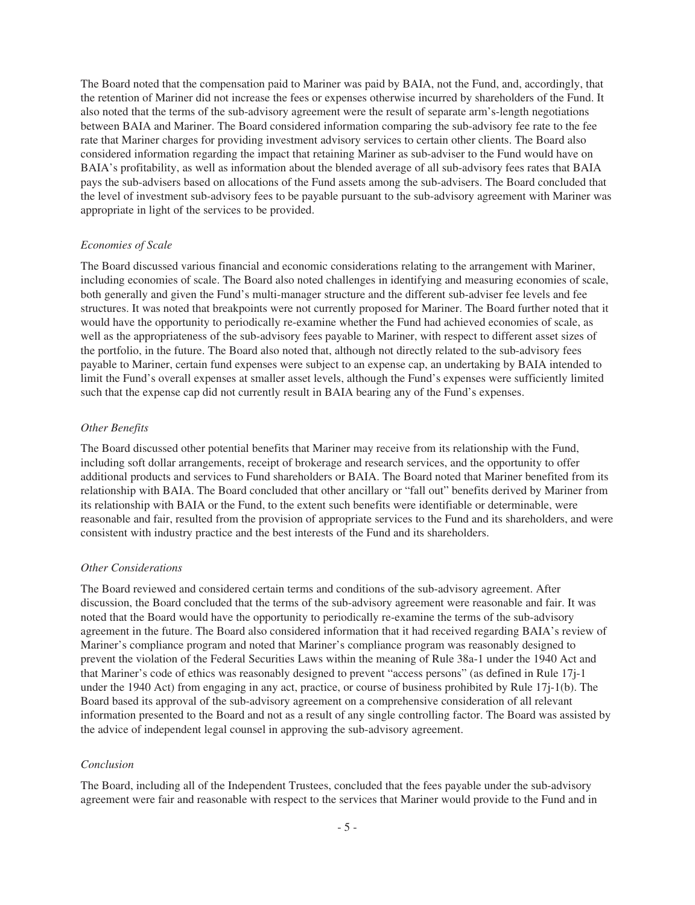The Board noted that the compensation paid to Mariner was paid by BAIA, not the Fund, and, accordingly, that the retention of Mariner did not increase the fees or expenses otherwise incurred by shareholders of the Fund. It also noted that the terms of the sub-advisory agreement were the result of separate arm's-length negotiations between BAIA and Mariner. The Board considered information comparing the sub-advisory fee rate to the fee rate that Mariner charges for providing investment advisory services to certain other clients. The Board also considered information regarding the impact that retaining Mariner as sub-adviser to the Fund would have on BAIA's profitability, as well as information about the blended average of all sub-advisory fees rates that BAIA pays the sub-advisers based on allocations of the Fund assets among the sub-advisers. The Board concluded that the level of investment sub-advisory fees to be payable pursuant to the sub-advisory agreement with Mariner was appropriate in light of the services to be provided.

#### *Economies of Scale*

The Board discussed various financial and economic considerations relating to the arrangement with Mariner, including economies of scale. The Board also noted challenges in identifying and measuring economies of scale, both generally and given the Fund's multi-manager structure and the different sub-adviser fee levels and fee structures. It was noted that breakpoints were not currently proposed for Mariner. The Board further noted that it would have the opportunity to periodically re-examine whether the Fund had achieved economies of scale, as well as the appropriateness of the sub-advisory fees payable to Mariner, with respect to different asset sizes of the portfolio, in the future. The Board also noted that, although not directly related to the sub-advisory fees payable to Mariner, certain fund expenses were subject to an expense cap, an undertaking by BAIA intended to limit the Fund's overall expenses at smaller asset levels, although the Fund's expenses were sufficiently limited such that the expense cap did not currently result in BAIA bearing any of the Fund's expenses.

#### *Other Benefits*

The Board discussed other potential benefits that Mariner may receive from its relationship with the Fund, including soft dollar arrangements, receipt of brokerage and research services, and the opportunity to offer additional products and services to Fund shareholders or BAIA. The Board noted that Mariner benefited from its relationship with BAIA. The Board concluded that other ancillary or "fall out" benefits derived by Mariner from its relationship with BAIA or the Fund, to the extent such benefits were identifiable or determinable, were reasonable and fair, resulted from the provision of appropriate services to the Fund and its shareholders, and were consistent with industry practice and the best interests of the Fund and its shareholders.

#### *Other Considerations*

The Board reviewed and considered certain terms and conditions of the sub-advisory agreement. After discussion, the Board concluded that the terms of the sub-advisory agreement were reasonable and fair. It was noted that the Board would have the opportunity to periodically re-examine the terms of the sub-advisory agreement in the future. The Board also considered information that it had received regarding BAIA's review of Mariner's compliance program and noted that Mariner's compliance program was reasonably designed to prevent the violation of the Federal Securities Laws within the meaning of Rule 38a-1 under the 1940 Act and that Mariner's code of ethics was reasonably designed to prevent "access persons" (as defined in Rule 17j-1 under the 1940 Act) from engaging in any act, practice, or course of business prohibited by Rule 17j-1(b). The Board based its approval of the sub-advisory agreement on a comprehensive consideration of all relevant information presented to the Board and not as a result of any single controlling factor. The Board was assisted by the advice of independent legal counsel in approving the sub-advisory agreement.

#### *Conclusion*

The Board, including all of the Independent Trustees, concluded that the fees payable under the sub-advisory agreement were fair and reasonable with respect to the services that Mariner would provide to the Fund and in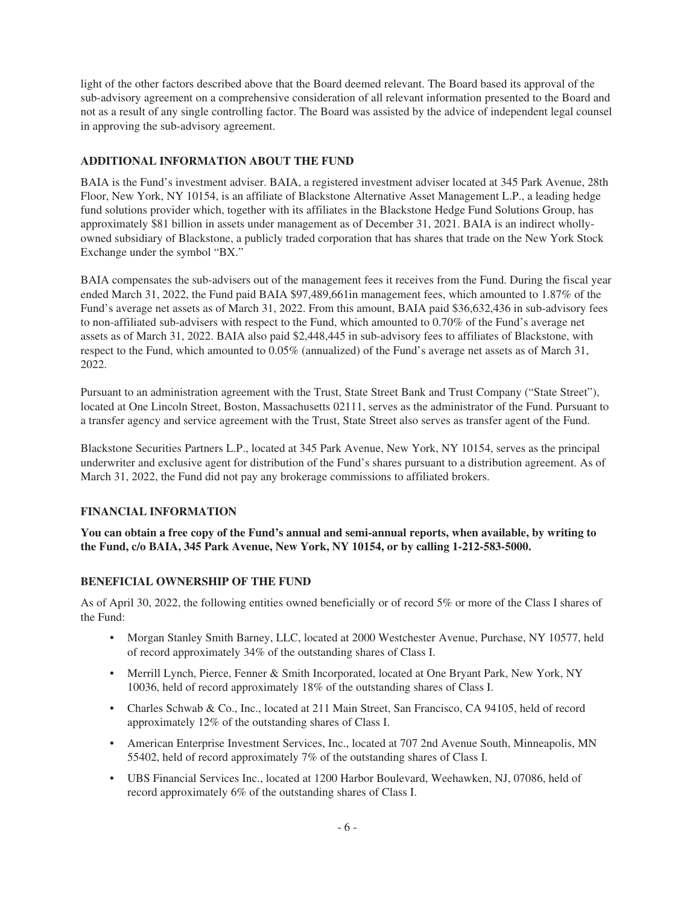light of the other factors described above that the Board deemed relevant. The Board based its approval of the sub-advisory agreement on a comprehensive consideration of all relevant information presented to the Board and not as a result of any single controlling factor. The Board was assisted by the advice of independent legal counsel in approving the sub-advisory agreement.

# **ADDITIONAL INFORMATION ABOUT THE FUND**

BAIA is the Fund's investment adviser. BAIA, a registered investment adviser located at 345 Park Avenue, 28th Floor, New York, NY 10154, is an affiliate of Blackstone Alternative Asset Management L.P., a leading hedge fund solutions provider which, together with its affiliates in the Blackstone Hedge Fund Solutions Group, has approximately \$81 billion in assets under management as of December 31, 2021. BAIA is an indirect whollyowned subsidiary of Blackstone, a publicly traded corporation that has shares that trade on the New York Stock Exchange under the symbol "BX."

BAIA compensates the sub-advisers out of the management fees it receives from the Fund. During the fiscal year ended March 31, 2022, the Fund paid BAIA \$97,489,661in management fees, which amounted to 1.87% of the Fund's average net assets as of March 31, 2022. From this amount, BAIA paid \$36,632,436 in sub-advisory fees to non-affiliated sub-advisers with respect to the Fund, which amounted to 0.70% of the Fund's average net assets as of March 31, 2022. BAIA also paid \$2,448,445 in sub-advisory fees to affiliates of Blackstone, with respect to the Fund, which amounted to 0.05% (annualized) of the Fund's average net assets as of March 31, 2022.

Pursuant to an administration agreement with the Trust, State Street Bank and Trust Company ("State Street"), located at One Lincoln Street, Boston, Massachusetts 02111, serves as the administrator of the Fund. Pursuant to a transfer agency and service agreement with the Trust, State Street also serves as transfer agent of the Fund.

Blackstone Securities Partners L.P., located at 345 Park Avenue, New York, NY 10154, serves as the principal underwriter and exclusive agent for distribution of the Fund's shares pursuant to a distribution agreement. As of March 31, 2022, the Fund did not pay any brokerage commissions to affiliated brokers.

# **FINANCIAL INFORMATION**

**You can obtain a free copy of the Fund's annual and semi-annual reports, when available, by writing to the Fund, c/o BAIA, 345 Park Avenue, New York, NY 10154, or by calling 1-212-583-5000.**

# **BENEFICIAL OWNERSHIP OF THE FUND**

As of April 30, 2022, the following entities owned beneficially or of record 5% or more of the Class I shares of the Fund:

- Morgan Stanley Smith Barney, LLC, located at 2000 Westchester Avenue, Purchase, NY 10577, held of record approximately 34% of the outstanding shares of Class I.
- Merrill Lynch, Pierce, Fenner & Smith Incorporated, located at One Bryant Park, New York, NY 10036, held of record approximately 18% of the outstanding shares of Class I.
- Charles Schwab & Co., Inc., located at 211 Main Street, San Francisco, CA 94105, held of record approximately 12% of the outstanding shares of Class I.
- American Enterprise Investment Services, Inc., located at 707 2nd Avenue South, Minneapolis, MN 55402, held of record approximately 7% of the outstanding shares of Class I.
- UBS Financial Services Inc., located at 1200 Harbor Boulevard, Weehawken, NJ, 07086, held of record approximately 6% of the outstanding shares of Class I.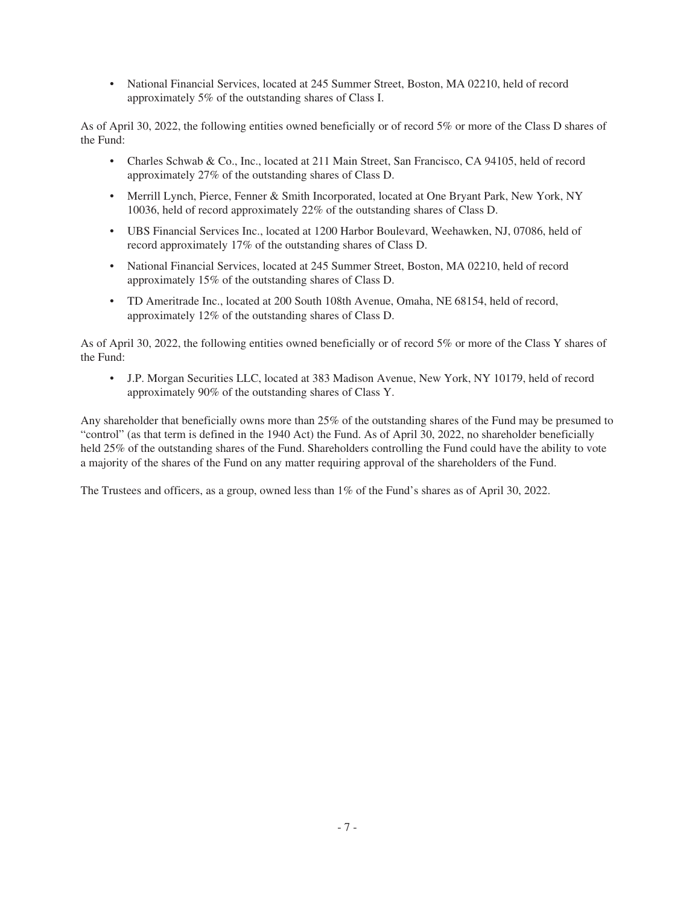• National Financial Services, located at 245 Summer Street, Boston, MA 02210, held of record approximately 5% of the outstanding shares of Class I.

As of April 30, 2022, the following entities owned beneficially or of record 5% or more of the Class D shares of the Fund:

- Charles Schwab & Co., Inc., located at 211 Main Street, San Francisco, CA 94105, held of record approximately 27% of the outstanding shares of Class D.
- Merrill Lynch, Pierce, Fenner & Smith Incorporated, located at One Bryant Park, New York, NY 10036, held of record approximately 22% of the outstanding shares of Class D.
- UBS Financial Services Inc., located at 1200 Harbor Boulevard, Weehawken, NJ, 07086, held of record approximately 17% of the outstanding shares of Class D.
- National Financial Services, located at 245 Summer Street, Boston, MA 02210, held of record approximately 15% of the outstanding shares of Class D.
- TD Ameritrade Inc., located at 200 South 108th Avenue, Omaha, NE 68154, held of record, approximately 12% of the outstanding shares of Class D.

As of April 30, 2022, the following entities owned beneficially or of record 5% or more of the Class Y shares of the Fund:

• J.P. Morgan Securities LLC, located at 383 Madison Avenue, New York, NY 10179, held of record approximately 90% of the outstanding shares of Class Y.

Any shareholder that beneficially owns more than 25% of the outstanding shares of the Fund may be presumed to "control" (as that term is defined in the 1940 Act) the Fund. As of April 30, 2022, no shareholder beneficially held 25% of the outstanding shares of the Fund. Shareholders controlling the Fund could have the ability to vote a majority of the shares of the Fund on any matter requiring approval of the shareholders of the Fund.

The Trustees and officers, as a group, owned less than 1% of the Fund's shares as of April 30, 2022.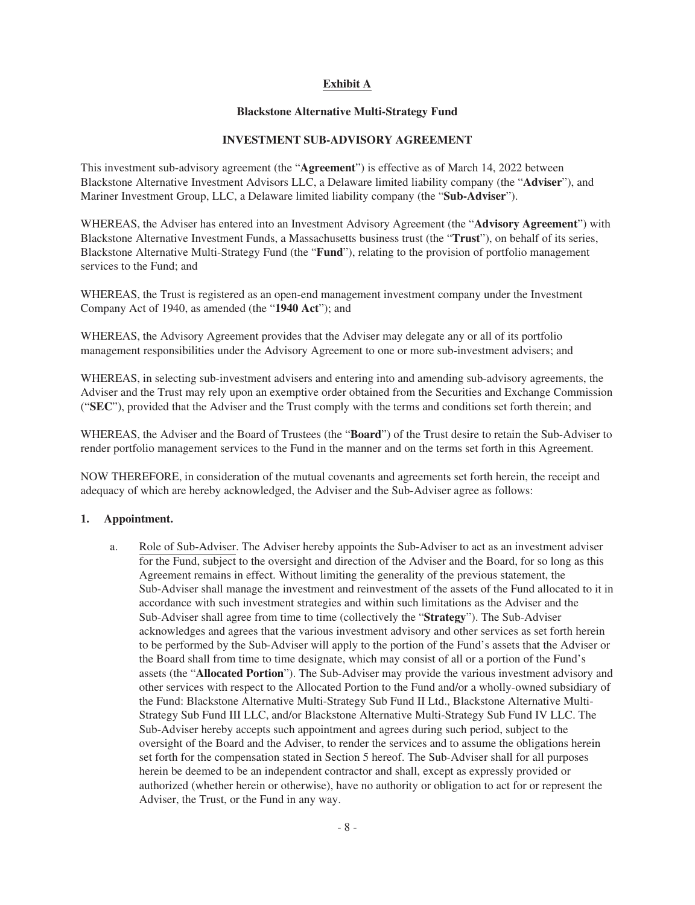# **Exhibit A**

# **Blackstone Alternative Multi-Strategy Fund**

# **INVESTMENT SUB-ADVISORY AGREEMENT**

This investment sub-advisory agreement (the "**Agreement**") is effective as of March 14, 2022 between Blackstone Alternative Investment Advisors LLC, a Delaware limited liability company (the "**Adviser**"), and Mariner Investment Group, LLC, a Delaware limited liability company (the "**Sub-Adviser**").

WHEREAS, the Adviser has entered into an Investment Advisory Agreement (the "**Advisory Agreement**") with Blackstone Alternative Investment Funds, a Massachusetts business trust (the "**Trust**"), on behalf of its series, Blackstone Alternative Multi-Strategy Fund (the "**Fund**"), relating to the provision of portfolio management services to the Fund; and

WHEREAS, the Trust is registered as an open-end management investment company under the Investment Company Act of 1940, as amended (the "**1940 Act**"); and

WHEREAS, the Advisory Agreement provides that the Adviser may delegate any or all of its portfolio management responsibilities under the Advisory Agreement to one or more sub-investment advisers; and

WHEREAS, in selecting sub-investment advisers and entering into and amending sub-advisory agreements, the Adviser and the Trust may rely upon an exemptive order obtained from the Securities and Exchange Commission ("**SEC**"), provided that the Adviser and the Trust comply with the terms and conditions set forth therein; and

WHEREAS, the Adviser and the Board of Trustees (the "**Board**") of the Trust desire to retain the Sub-Adviser to render portfolio management services to the Fund in the manner and on the terms set forth in this Agreement.

NOW THEREFORE, in consideration of the mutual covenants and agreements set forth herein, the receipt and adequacy of which are hereby acknowledged, the Adviser and the Sub-Adviser agree as follows:

# **1. Appointment.**

a. Role of Sub-Adviser. The Adviser hereby appoints the Sub-Adviser to act as an investment adviser for the Fund, subject to the oversight and direction of the Adviser and the Board, for so long as this Agreement remains in effect. Without limiting the generality of the previous statement, the Sub-Adviser shall manage the investment and reinvestment of the assets of the Fund allocated to it in accordance with such investment strategies and within such limitations as the Adviser and the Sub-Adviser shall agree from time to time (collectively the "**Strategy**"). The Sub-Adviser acknowledges and agrees that the various investment advisory and other services as set forth herein to be performed by the Sub-Adviser will apply to the portion of the Fund's assets that the Adviser or the Board shall from time to time designate, which may consist of all or a portion of the Fund's assets (the "**Allocated Portion**"). The Sub-Adviser may provide the various investment advisory and other services with respect to the Allocated Portion to the Fund and/or a wholly-owned subsidiary of the Fund: Blackstone Alternative Multi-Strategy Sub Fund II Ltd., Blackstone Alternative Multi-Strategy Sub Fund III LLC, and/or Blackstone Alternative Multi-Strategy Sub Fund IV LLC. The Sub-Adviser hereby accepts such appointment and agrees during such period, subject to the oversight of the Board and the Adviser, to render the services and to assume the obligations herein set forth for the compensation stated in Section 5 hereof. The Sub-Adviser shall for all purposes herein be deemed to be an independent contractor and shall, except as expressly provided or authorized (whether herein or otherwise), have no authority or obligation to act for or represent the Adviser, the Trust, or the Fund in any way.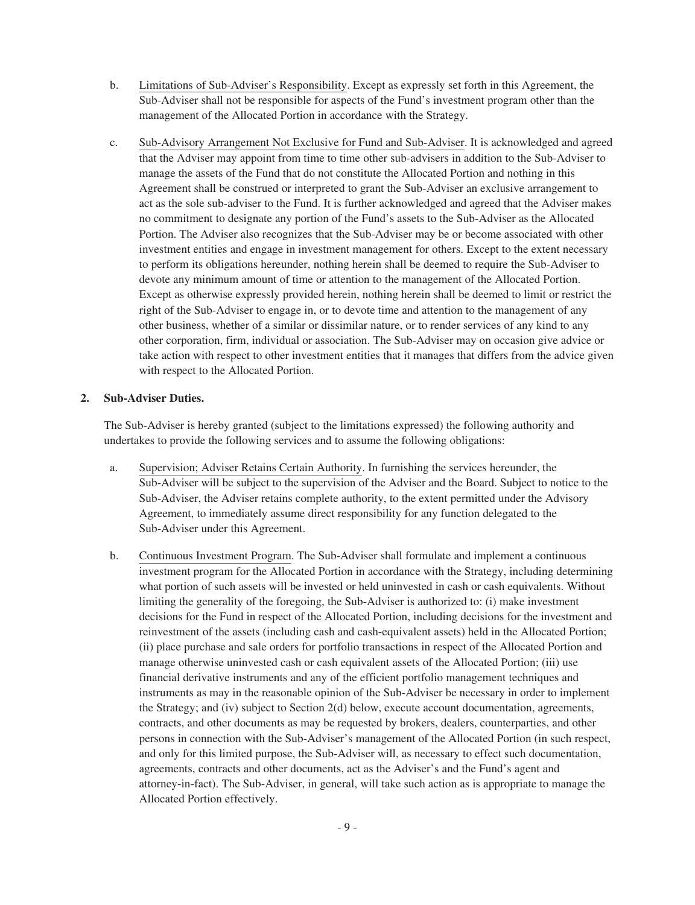- b. Limitations of Sub-Adviser's Responsibility. Except as expressly set forth in this Agreement, the Sub-Adviser shall not be responsible for aspects of the Fund's investment program other than the management of the Allocated Portion in accordance with the Strategy.
- c. Sub-Advisory Arrangement Not Exclusive for Fund and Sub-Adviser. It is acknowledged and agreed that the Adviser may appoint from time to time other sub-advisers in addition to the Sub-Adviser to manage the assets of the Fund that do not constitute the Allocated Portion and nothing in this Agreement shall be construed or interpreted to grant the Sub-Adviser an exclusive arrangement to act as the sole sub-adviser to the Fund. It is further acknowledged and agreed that the Adviser makes no commitment to designate any portion of the Fund's assets to the Sub-Adviser as the Allocated Portion. The Adviser also recognizes that the Sub-Adviser may be or become associated with other investment entities and engage in investment management for others. Except to the extent necessary to perform its obligations hereunder, nothing herein shall be deemed to require the Sub-Adviser to devote any minimum amount of time or attention to the management of the Allocated Portion. Except as otherwise expressly provided herein, nothing herein shall be deemed to limit or restrict the right of the Sub-Adviser to engage in, or to devote time and attention to the management of any other business, whether of a similar or dissimilar nature, or to render services of any kind to any other corporation, firm, individual or association. The Sub-Adviser may on occasion give advice or take action with respect to other investment entities that it manages that differs from the advice given with respect to the Allocated Portion.

### **2. Sub-Adviser Duties.**

The Sub-Adviser is hereby granted (subject to the limitations expressed) the following authority and undertakes to provide the following services and to assume the following obligations:

- a. Supervision; Adviser Retains Certain Authority. In furnishing the services hereunder, the Sub-Adviser will be subject to the supervision of the Adviser and the Board. Subject to notice to the Sub-Adviser, the Adviser retains complete authority, to the extent permitted under the Advisory Agreement, to immediately assume direct responsibility for any function delegated to the Sub-Adviser under this Agreement.
- b. Continuous Investment Program. The Sub-Adviser shall formulate and implement a continuous investment program for the Allocated Portion in accordance with the Strategy, including determining what portion of such assets will be invested or held uninvested in cash or cash equivalents. Without limiting the generality of the foregoing, the Sub-Adviser is authorized to: (i) make investment decisions for the Fund in respect of the Allocated Portion, including decisions for the investment and reinvestment of the assets (including cash and cash-equivalent assets) held in the Allocated Portion; (ii) place purchase and sale orders for portfolio transactions in respect of the Allocated Portion and manage otherwise uninvested cash or cash equivalent assets of the Allocated Portion; (iii) use financial derivative instruments and any of the efficient portfolio management techniques and instruments as may in the reasonable opinion of the Sub-Adviser be necessary in order to implement the Strategy; and (iv) subject to Section 2(d) below, execute account documentation, agreements, contracts, and other documents as may be requested by brokers, dealers, counterparties, and other persons in connection with the Sub-Adviser's management of the Allocated Portion (in such respect, and only for this limited purpose, the Sub-Adviser will, as necessary to effect such documentation, agreements, contracts and other documents, act as the Adviser's and the Fund's agent and attorney-in-fact). The Sub-Adviser, in general, will take such action as is appropriate to manage the Allocated Portion effectively.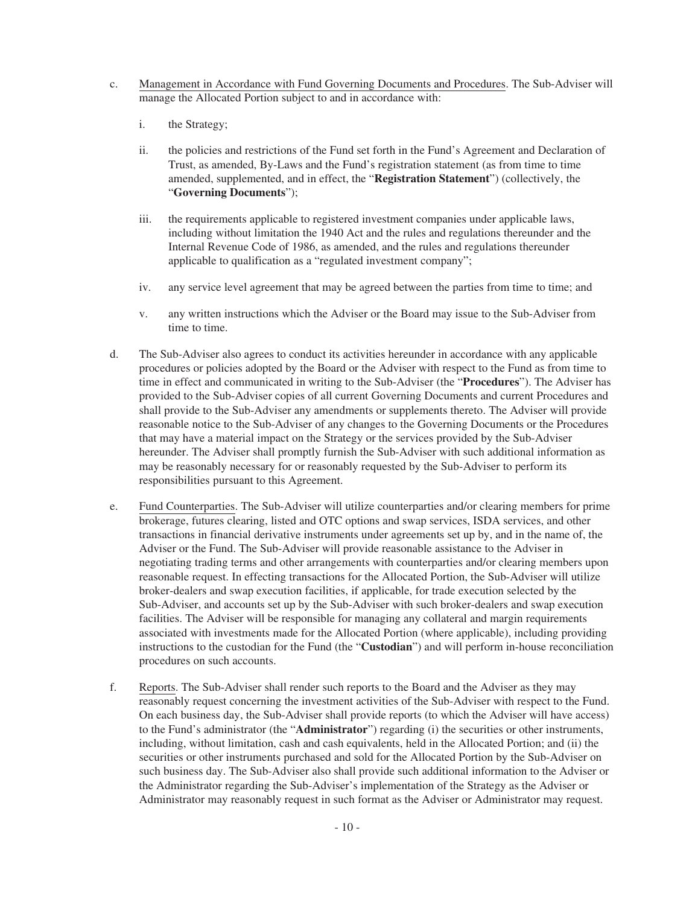- c. Management in Accordance with Fund Governing Documents and Procedures. The Sub-Adviser will manage the Allocated Portion subject to and in accordance with:
	- i. the Strategy;
	- ii. the policies and restrictions of the Fund set forth in the Fund's Agreement and Declaration of Trust, as amended, By-Laws and the Fund's registration statement (as from time to time amended, supplemented, and in effect, the "**Registration Statement**") (collectively, the "**Governing Documents**");
	- iii. the requirements applicable to registered investment companies under applicable laws, including without limitation the 1940 Act and the rules and regulations thereunder and the Internal Revenue Code of 1986, as amended, and the rules and regulations thereunder applicable to qualification as a "regulated investment company";
	- iv. any service level agreement that may be agreed between the parties from time to time; and
	- v. any written instructions which the Adviser or the Board may issue to the Sub-Adviser from time to time.
- d. The Sub-Adviser also agrees to conduct its activities hereunder in accordance with any applicable procedures or policies adopted by the Board or the Adviser with respect to the Fund as from time to time in effect and communicated in writing to the Sub-Adviser (the "**Procedures**"). The Adviser has provided to the Sub-Adviser copies of all current Governing Documents and current Procedures and shall provide to the Sub-Adviser any amendments or supplements thereto. The Adviser will provide reasonable notice to the Sub-Adviser of any changes to the Governing Documents or the Procedures that may have a material impact on the Strategy or the services provided by the Sub-Adviser hereunder. The Adviser shall promptly furnish the Sub-Adviser with such additional information as may be reasonably necessary for or reasonably requested by the Sub-Adviser to perform its responsibilities pursuant to this Agreement.
- e. Fund Counterparties. The Sub-Adviser will utilize counterparties and/or clearing members for prime brokerage, futures clearing, listed and OTC options and swap services, ISDA services, and other transactions in financial derivative instruments under agreements set up by, and in the name of, the Adviser or the Fund. The Sub-Adviser will provide reasonable assistance to the Adviser in negotiating trading terms and other arrangements with counterparties and/or clearing members upon reasonable request. In effecting transactions for the Allocated Portion, the Sub-Adviser will utilize broker-dealers and swap execution facilities, if applicable, for trade execution selected by the Sub-Adviser, and accounts set up by the Sub-Adviser with such broker-dealers and swap execution facilities. The Adviser will be responsible for managing any collateral and margin requirements associated with investments made for the Allocated Portion (where applicable), including providing instructions to the custodian for the Fund (the "**Custodian**") and will perform in-house reconciliation procedures on such accounts.
- f. Reports. The Sub-Adviser shall render such reports to the Board and the Adviser as they may reasonably request concerning the investment activities of the Sub-Adviser with respect to the Fund. On each business day, the Sub-Adviser shall provide reports (to which the Adviser will have access) to the Fund's administrator (the "**Administrator**") regarding (i) the securities or other instruments, including, without limitation, cash and cash equivalents, held in the Allocated Portion; and (ii) the securities or other instruments purchased and sold for the Allocated Portion by the Sub-Adviser on such business day. The Sub-Adviser also shall provide such additional information to the Adviser or the Administrator regarding the Sub-Adviser's implementation of the Strategy as the Adviser or Administrator may reasonably request in such format as the Adviser or Administrator may request.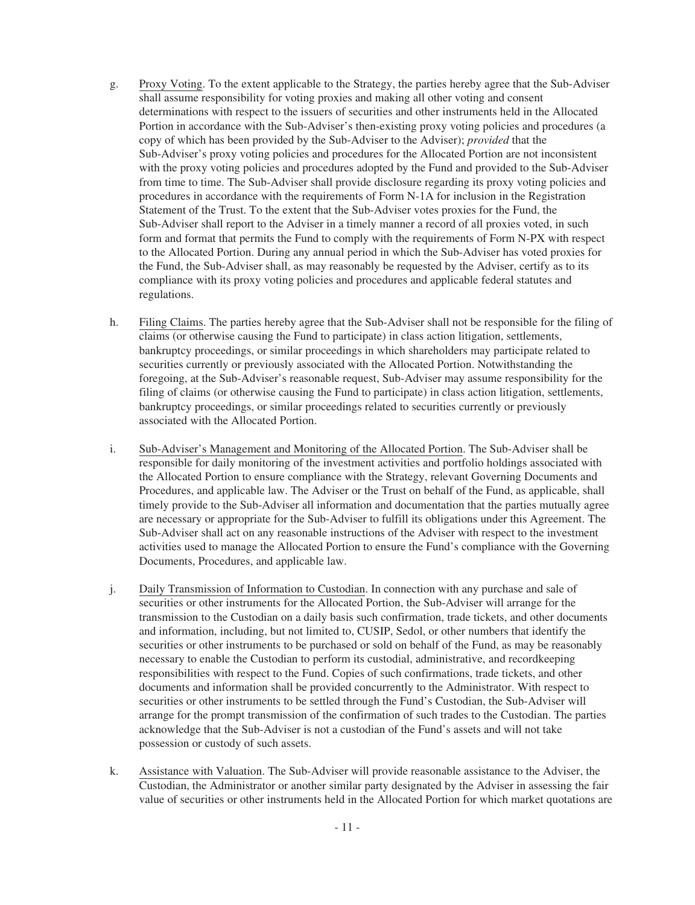- g. Proxy Voting. To the extent applicable to the Strategy, the parties hereby agree that the Sub-Adviser shall assume responsibility for voting proxies and making all other voting and consent determinations with respect to the issuers of securities and other instruments held in the Allocated Portion in accordance with the Sub-Adviser's then-existing proxy voting policies and procedures (a copy of which has been provided by the Sub-Adviser to the Adviser); *provided* that the Sub-Adviser's proxy voting policies and procedures for the Allocated Portion are not inconsistent with the proxy voting policies and procedures adopted by the Fund and provided to the Sub-Adviser from time to time. The Sub-Adviser shall provide disclosure regarding its proxy voting policies and procedures in accordance with the requirements of Form N-1A for inclusion in the Registration Statement of the Trust. To the extent that the Sub-Adviser votes proxies for the Fund, the Sub-Adviser shall report to the Adviser in a timely manner a record of all proxies voted, in such form and format that permits the Fund to comply with the requirements of Form N-PX with respect to the Allocated Portion. During any annual period in which the Sub-Adviser has voted proxies for the Fund, the Sub-Adviser shall, as may reasonably be requested by the Adviser, certify as to its compliance with its proxy voting policies and procedures and applicable federal statutes and regulations.
- h. Filing Claims. The parties hereby agree that the Sub-Adviser shall not be responsible for the filing of claims (or otherwise causing the Fund to participate) in class action litigation, settlements, bankruptcy proceedings, or similar proceedings in which shareholders may participate related to securities currently or previously associated with the Allocated Portion. Notwithstanding the foregoing, at the Sub-Adviser's reasonable request, Sub-Adviser may assume responsibility for the filing of claims (or otherwise causing the Fund to participate) in class action litigation, settlements, bankruptcy proceedings, or similar proceedings related to securities currently or previously associated with the Allocated Portion.
- i. Sub-Adviser's Management and Monitoring of the Allocated Portion. The Sub-Adviser shall be responsible for daily monitoring of the investment activities and portfolio holdings associated with the Allocated Portion to ensure compliance with the Strategy, relevant Governing Documents and Procedures, and applicable law. The Adviser or the Trust on behalf of the Fund, as applicable, shall timely provide to the Sub-Adviser all information and documentation that the parties mutually agree are necessary or appropriate for the Sub-Adviser to fulfill its obligations under this Agreement. The Sub-Adviser shall act on any reasonable instructions of the Adviser with respect to the investment activities used to manage the Allocated Portion to ensure the Fund's compliance with the Governing Documents, Procedures, and applicable law.
- j. Daily Transmission of Information to Custodian. In connection with any purchase and sale of securities or other instruments for the Allocated Portion, the Sub-Adviser will arrange for the transmission to the Custodian on a daily basis such confirmation, trade tickets, and other documents and information, including, but not limited to, CUSIP, Sedol, or other numbers that identify the securities or other instruments to be purchased or sold on behalf of the Fund, as may be reasonably necessary to enable the Custodian to perform its custodial, administrative, and recordkeeping responsibilities with respect to the Fund. Copies of such confirmations, trade tickets, and other documents and information shall be provided concurrently to the Administrator. With respect to securities or other instruments to be settled through the Fund's Custodian, the Sub-Adviser will arrange for the prompt transmission of the confirmation of such trades to the Custodian. The parties acknowledge that the Sub-Adviser is not a custodian of the Fund's assets and will not take possession or custody of such assets.
- k. Assistance with Valuation. The Sub-Adviser will provide reasonable assistance to the Adviser, the Custodian, the Administrator or another similar party designated by the Adviser in assessing the fair value of securities or other instruments held in the Allocated Portion for which market quotations are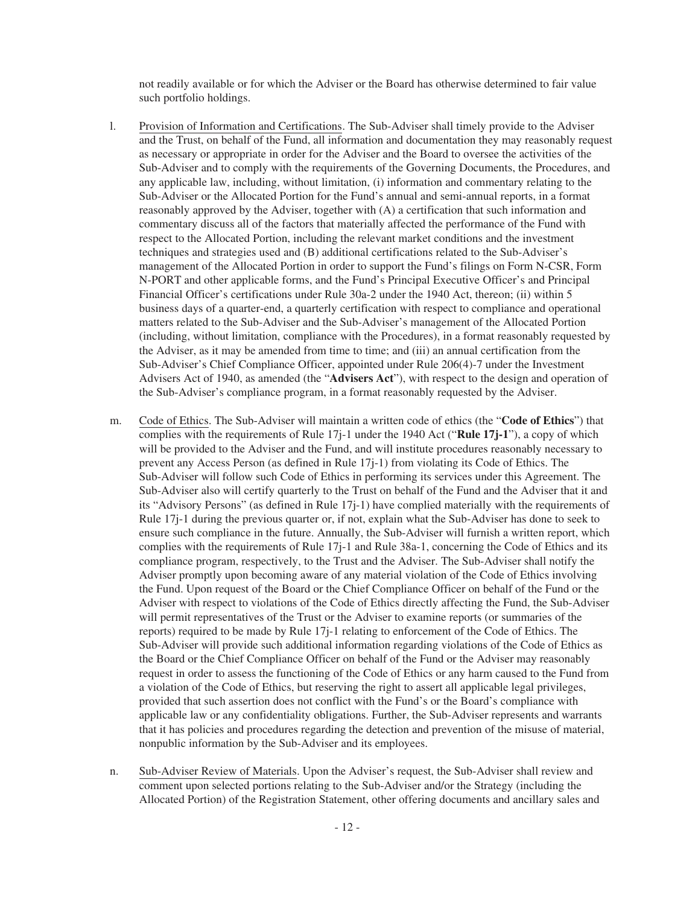not readily available or for which the Adviser or the Board has otherwise determined to fair value such portfolio holdings.

- l. Provision of Information and Certifications. The Sub-Adviser shall timely provide to the Adviser and the Trust, on behalf of the Fund, all information and documentation they may reasonably request as necessary or appropriate in order for the Adviser and the Board to oversee the activities of the Sub-Adviser and to comply with the requirements of the Governing Documents, the Procedures, and any applicable law, including, without limitation, (i) information and commentary relating to the Sub-Adviser or the Allocated Portion for the Fund's annual and semi-annual reports, in a format reasonably approved by the Adviser, together with (A) a certification that such information and commentary discuss all of the factors that materially affected the performance of the Fund with respect to the Allocated Portion, including the relevant market conditions and the investment techniques and strategies used and (B) additional certifications related to the Sub-Adviser's management of the Allocated Portion in order to support the Fund's filings on Form N-CSR, Form N-PORT and other applicable forms, and the Fund's Principal Executive Officer's and Principal Financial Officer's certifications under Rule 30a-2 under the 1940 Act, thereon; (ii) within 5 business days of a quarter-end, a quarterly certification with respect to compliance and operational matters related to the Sub-Adviser and the Sub-Adviser's management of the Allocated Portion (including, without limitation, compliance with the Procedures), in a format reasonably requested by the Adviser, as it may be amended from time to time; and (iii) an annual certification from the Sub-Adviser's Chief Compliance Officer, appointed under Rule 206(4)-7 under the Investment Advisers Act of 1940, as amended (the "**Advisers Act**"), with respect to the design and operation of the Sub-Adviser's compliance program, in a format reasonably requested by the Adviser.
- m. Code of Ethics. The Sub-Adviser will maintain a written code of ethics (the "**Code of Ethics**") that complies with the requirements of Rule 17j-1 under the 1940 Act ("**Rule 17j-1**"), a copy of which will be provided to the Adviser and the Fund, and will institute procedures reasonably necessary to prevent any Access Person (as defined in Rule 17j-1) from violating its Code of Ethics. The Sub-Adviser will follow such Code of Ethics in performing its services under this Agreement. The Sub-Adviser also will certify quarterly to the Trust on behalf of the Fund and the Adviser that it and its "Advisory Persons" (as defined in Rule 17j-1) have complied materially with the requirements of Rule 17j-1 during the previous quarter or, if not, explain what the Sub-Adviser has done to seek to ensure such compliance in the future. Annually, the Sub-Adviser will furnish a written report, which complies with the requirements of Rule 17j-1 and Rule 38a-1, concerning the Code of Ethics and its compliance program, respectively, to the Trust and the Adviser. The Sub-Adviser shall notify the Adviser promptly upon becoming aware of any material violation of the Code of Ethics involving the Fund. Upon request of the Board or the Chief Compliance Officer on behalf of the Fund or the Adviser with respect to violations of the Code of Ethics directly affecting the Fund, the Sub-Adviser will permit representatives of the Trust or the Adviser to examine reports (or summaries of the reports) required to be made by Rule 17j-1 relating to enforcement of the Code of Ethics. The Sub-Adviser will provide such additional information regarding violations of the Code of Ethics as the Board or the Chief Compliance Officer on behalf of the Fund or the Adviser may reasonably request in order to assess the functioning of the Code of Ethics or any harm caused to the Fund from a violation of the Code of Ethics, but reserving the right to assert all applicable legal privileges, provided that such assertion does not conflict with the Fund's or the Board's compliance with applicable law or any confidentiality obligations. Further, the Sub-Adviser represents and warrants that it has policies and procedures regarding the detection and prevention of the misuse of material, nonpublic information by the Sub-Adviser and its employees.
- n. Sub-Adviser Review of Materials. Upon the Adviser's request, the Sub-Adviser shall review and comment upon selected portions relating to the Sub-Adviser and/or the Strategy (including the Allocated Portion) of the Registration Statement, other offering documents and ancillary sales and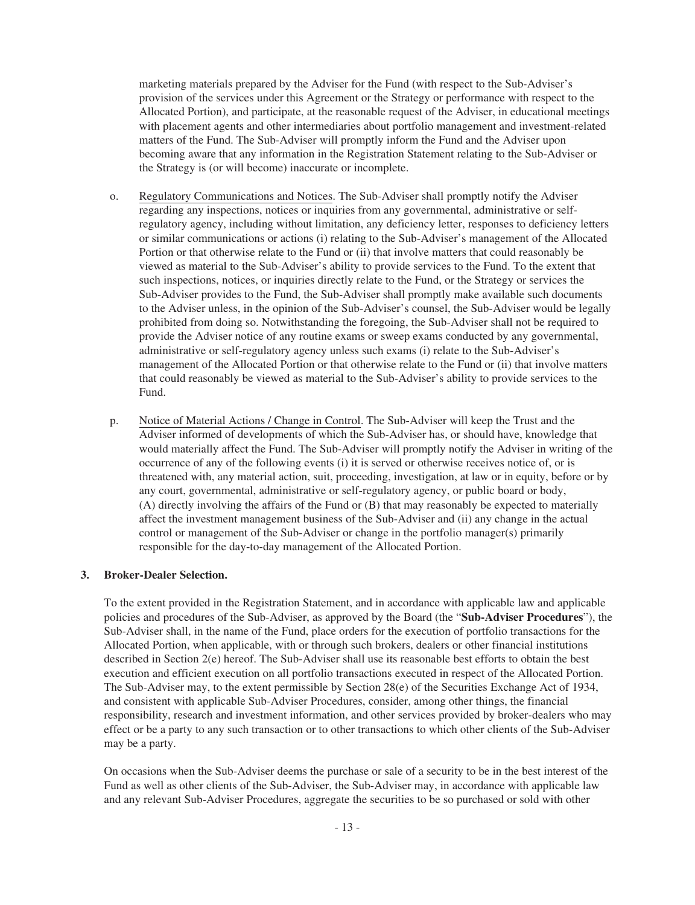marketing materials prepared by the Adviser for the Fund (with respect to the Sub-Adviser's provision of the services under this Agreement or the Strategy or performance with respect to the Allocated Portion), and participate, at the reasonable request of the Adviser, in educational meetings with placement agents and other intermediaries about portfolio management and investment-related matters of the Fund. The Sub-Adviser will promptly inform the Fund and the Adviser upon becoming aware that any information in the Registration Statement relating to the Sub-Adviser or the Strategy is (or will become) inaccurate or incomplete.

- o. Regulatory Communications and Notices. The Sub-Adviser shall promptly notify the Adviser regarding any inspections, notices or inquiries from any governmental, administrative or selfregulatory agency, including without limitation, any deficiency letter, responses to deficiency letters or similar communications or actions (i) relating to the Sub-Adviser's management of the Allocated Portion or that otherwise relate to the Fund or (ii) that involve matters that could reasonably be viewed as material to the Sub-Adviser's ability to provide services to the Fund. To the extent that such inspections, notices, or inquiries directly relate to the Fund, or the Strategy or services the Sub-Adviser provides to the Fund, the Sub-Adviser shall promptly make available such documents to the Adviser unless, in the opinion of the Sub-Adviser's counsel, the Sub-Adviser would be legally prohibited from doing so. Notwithstanding the foregoing, the Sub-Adviser shall not be required to provide the Adviser notice of any routine exams or sweep exams conducted by any governmental, administrative or self-regulatory agency unless such exams (i) relate to the Sub-Adviser's management of the Allocated Portion or that otherwise relate to the Fund or (ii) that involve matters that could reasonably be viewed as material to the Sub-Adviser's ability to provide services to the Fund.
- p. Notice of Material Actions / Change in Control. The Sub-Adviser will keep the Trust and the Adviser informed of developments of which the Sub-Adviser has, or should have, knowledge that would materially affect the Fund. The Sub-Adviser will promptly notify the Adviser in writing of the occurrence of any of the following events (i) it is served or otherwise receives notice of, or is threatened with, any material action, suit, proceeding, investigation, at law or in equity, before or by any court, governmental, administrative or self-regulatory agency, or public board or body, (A) directly involving the affairs of the Fund or (B) that may reasonably be expected to materially affect the investment management business of the Sub-Adviser and (ii) any change in the actual control or management of the Sub-Adviser or change in the portfolio manager(s) primarily responsible for the day-to-day management of the Allocated Portion.

### **3. Broker-Dealer Selection.**

To the extent provided in the Registration Statement, and in accordance with applicable law and applicable policies and procedures of the Sub-Adviser, as approved by the Board (the "**Sub-Adviser Procedures**"), the Sub-Adviser shall, in the name of the Fund, place orders for the execution of portfolio transactions for the Allocated Portion, when applicable, with or through such brokers, dealers or other financial institutions described in Section 2(e) hereof. The Sub-Adviser shall use its reasonable best efforts to obtain the best execution and efficient execution on all portfolio transactions executed in respect of the Allocated Portion. The Sub-Adviser may, to the extent permissible by Section 28(e) of the Securities Exchange Act of 1934, and consistent with applicable Sub-Adviser Procedures, consider, among other things, the financial responsibility, research and investment information, and other services provided by broker-dealers who may effect or be a party to any such transaction or to other transactions to which other clients of the Sub-Adviser may be a party.

On occasions when the Sub-Adviser deems the purchase or sale of a security to be in the best interest of the Fund as well as other clients of the Sub-Adviser, the Sub-Adviser may, in accordance with applicable law and any relevant Sub-Adviser Procedures, aggregate the securities to be so purchased or sold with other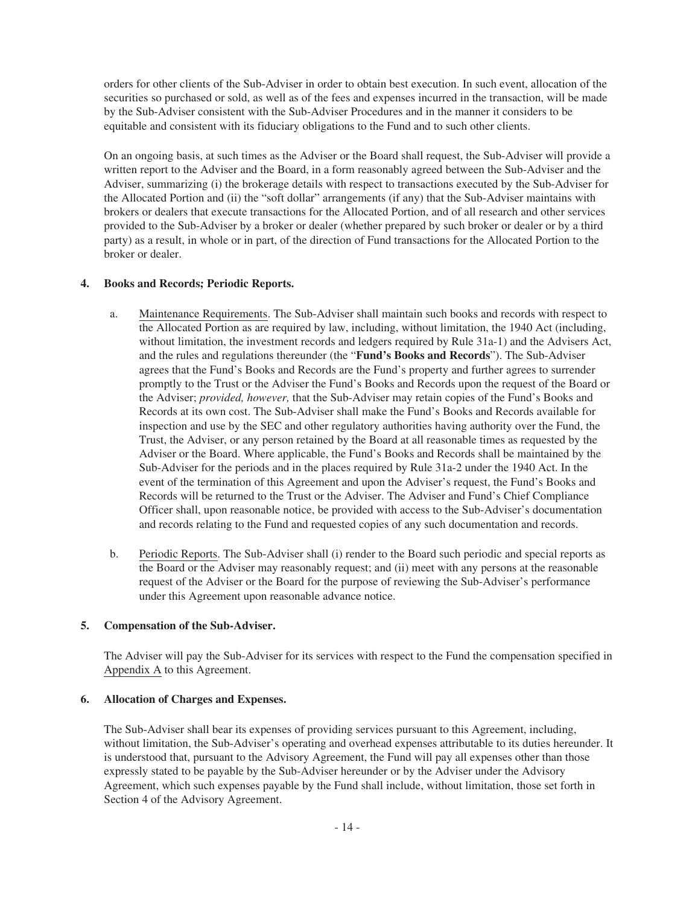orders for other clients of the Sub-Adviser in order to obtain best execution. In such event, allocation of the securities so purchased or sold, as well as of the fees and expenses incurred in the transaction, will be made by the Sub-Adviser consistent with the Sub-Adviser Procedures and in the manner it considers to be equitable and consistent with its fiduciary obligations to the Fund and to such other clients.

On an ongoing basis, at such times as the Adviser or the Board shall request, the Sub-Adviser will provide a written report to the Adviser and the Board, in a form reasonably agreed between the Sub-Adviser and the Adviser, summarizing (i) the brokerage details with respect to transactions executed by the Sub-Adviser for the Allocated Portion and (ii) the "soft dollar" arrangements (if any) that the Sub-Adviser maintains with brokers or dealers that execute transactions for the Allocated Portion, and of all research and other services provided to the Sub-Adviser by a broker or dealer (whether prepared by such broker or dealer or by a third party) as a result, in whole or in part, of the direction of Fund transactions for the Allocated Portion to the broker or dealer.

### **4. Books and Records; Periodic Reports.**

- a. Maintenance Requirements. The Sub-Adviser shall maintain such books and records with respect to the Allocated Portion as are required by law, including, without limitation, the 1940 Act (including, without limitation, the investment records and ledgers required by Rule 31a-1) and the Advisers Act, and the rules and regulations thereunder (the "**Fund's Books and Records**"). The Sub-Adviser agrees that the Fund's Books and Records are the Fund's property and further agrees to surrender promptly to the Trust or the Adviser the Fund's Books and Records upon the request of the Board or the Adviser; *provided, however,* that the Sub-Adviser may retain copies of the Fund's Books and Records at its own cost. The Sub-Adviser shall make the Fund's Books and Records available for inspection and use by the SEC and other regulatory authorities having authority over the Fund, the Trust, the Adviser, or any person retained by the Board at all reasonable times as requested by the Adviser or the Board. Where applicable, the Fund's Books and Records shall be maintained by the Sub-Adviser for the periods and in the places required by Rule 31a-2 under the 1940 Act. In the event of the termination of this Agreement and upon the Adviser's request, the Fund's Books and Records will be returned to the Trust or the Adviser. The Adviser and Fund's Chief Compliance Officer shall, upon reasonable notice, be provided with access to the Sub-Adviser's documentation and records relating to the Fund and requested copies of any such documentation and records.
- b. Periodic Reports. The Sub-Adviser shall (i) render to the Board such periodic and special reports as the Board or the Adviser may reasonably request; and (ii) meet with any persons at the reasonable request of the Adviser or the Board for the purpose of reviewing the Sub-Adviser's performance under this Agreement upon reasonable advance notice.

#### **5. Compensation of the Sub-Adviser.**

The Adviser will pay the Sub-Adviser for its services with respect to the Fund the compensation specified in Appendix A to this Agreement.

#### **6. Allocation of Charges and Expenses.**

The Sub-Adviser shall bear its expenses of providing services pursuant to this Agreement, including, without limitation, the Sub-Adviser's operating and overhead expenses attributable to its duties hereunder. It is understood that, pursuant to the Advisory Agreement, the Fund will pay all expenses other than those expressly stated to be payable by the Sub-Adviser hereunder or by the Adviser under the Advisory Agreement, which such expenses payable by the Fund shall include, without limitation, those set forth in Section 4 of the Advisory Agreement.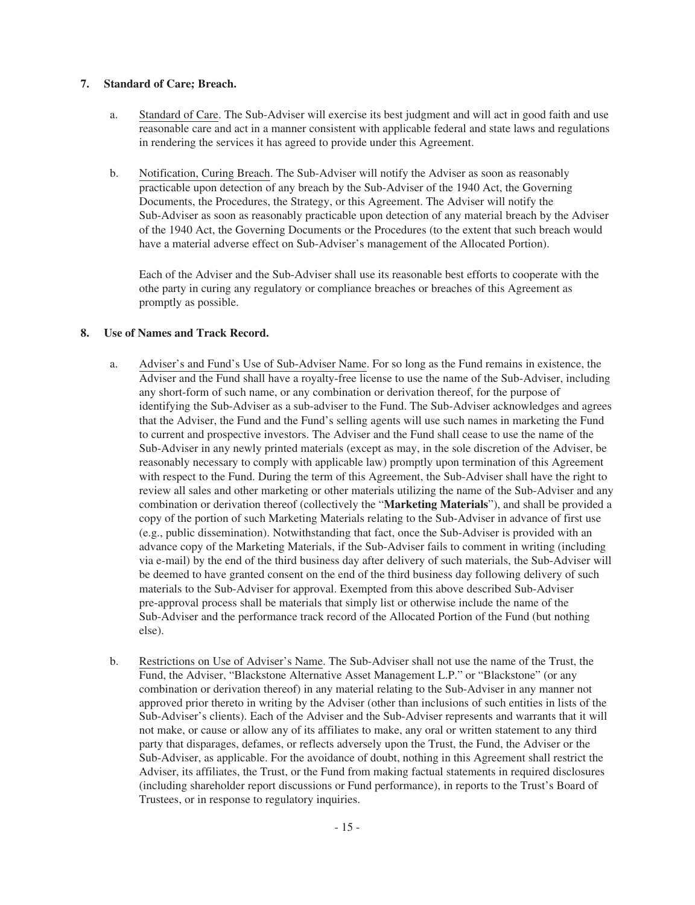# **7. Standard of Care; Breach.**

- a. Standard of Care. The Sub-Adviser will exercise its best judgment and will act in good faith and use reasonable care and act in a manner consistent with applicable federal and state laws and regulations in rendering the services it has agreed to provide under this Agreement.
- b. Notification, Curing Breach. The Sub-Adviser will notify the Adviser as soon as reasonably practicable upon detection of any breach by the Sub-Adviser of the 1940 Act, the Governing Documents, the Procedures, the Strategy, or this Agreement. The Adviser will notify the Sub-Adviser as soon as reasonably practicable upon detection of any material breach by the Adviser of the 1940 Act, the Governing Documents or the Procedures (to the extent that such breach would have a material adverse effect on Sub-Adviser's management of the Allocated Portion).

Each of the Adviser and the Sub-Adviser shall use its reasonable best efforts to cooperate with the othe party in curing any regulatory or compliance breaches or breaches of this Agreement as promptly as possible.

# **8. Use of Names and Track Record.**

- a. Adviser's and Fund's Use of Sub-Adviser Name. For so long as the Fund remains in existence, the Adviser and the Fund shall have a royalty-free license to use the name of the Sub-Adviser, including any short-form of such name, or any combination or derivation thereof, for the purpose of identifying the Sub-Adviser as a sub-adviser to the Fund. The Sub-Adviser acknowledges and agrees that the Adviser, the Fund and the Fund's selling agents will use such names in marketing the Fund to current and prospective investors. The Adviser and the Fund shall cease to use the name of the Sub-Adviser in any newly printed materials (except as may, in the sole discretion of the Adviser, be reasonably necessary to comply with applicable law) promptly upon termination of this Agreement with respect to the Fund. During the term of this Agreement, the Sub-Adviser shall have the right to review all sales and other marketing or other materials utilizing the name of the Sub-Adviser and any combination or derivation thereof (collectively the "**Marketing Materials**"), and shall be provided a copy of the portion of such Marketing Materials relating to the Sub-Adviser in advance of first use (e.g., public dissemination). Notwithstanding that fact, once the Sub-Adviser is provided with an advance copy of the Marketing Materials, if the Sub-Adviser fails to comment in writing (including via e-mail) by the end of the third business day after delivery of such materials, the Sub-Adviser will be deemed to have granted consent on the end of the third business day following delivery of such materials to the Sub-Adviser for approval. Exempted from this above described Sub-Adviser pre-approval process shall be materials that simply list or otherwise include the name of the Sub-Adviser and the performance track record of the Allocated Portion of the Fund (but nothing else).
- b. Restrictions on Use of Adviser's Name. The Sub-Adviser shall not use the name of the Trust, the Fund, the Adviser, "Blackstone Alternative Asset Management L.P." or "Blackstone" (or any combination or derivation thereof) in any material relating to the Sub-Adviser in any manner not approved prior thereto in writing by the Adviser (other than inclusions of such entities in lists of the Sub-Adviser's clients). Each of the Adviser and the Sub-Adviser represents and warrants that it will not make, or cause or allow any of its affiliates to make, any oral or written statement to any third party that disparages, defames, or reflects adversely upon the Trust, the Fund, the Adviser or the Sub-Adviser, as applicable. For the avoidance of doubt, nothing in this Agreement shall restrict the Adviser, its affiliates, the Trust, or the Fund from making factual statements in required disclosures (including shareholder report discussions or Fund performance), in reports to the Trust's Board of Trustees, or in response to regulatory inquiries.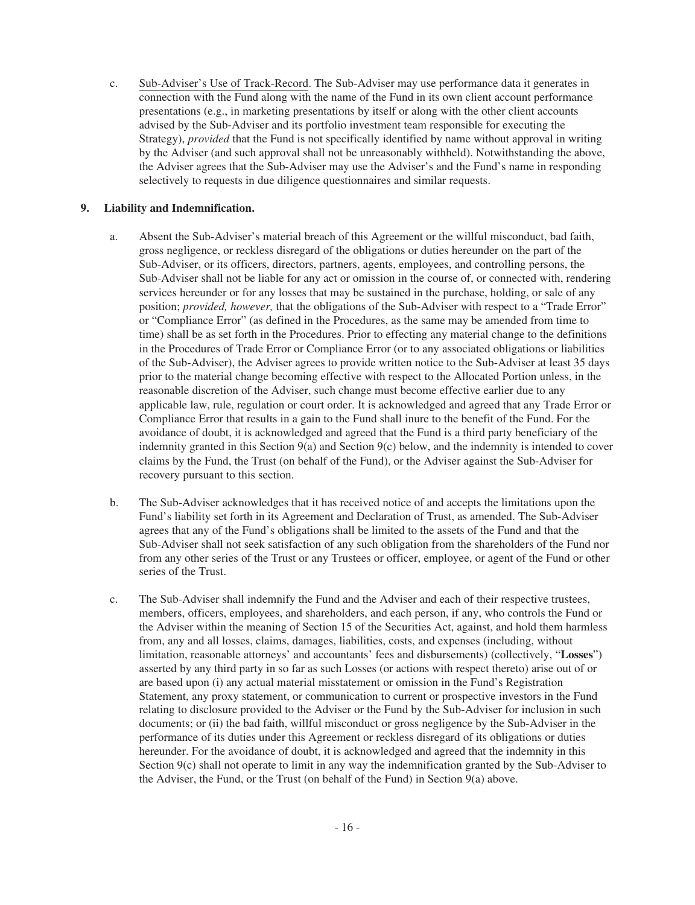c. Sub-Adviser's Use of Track-Record. The Sub-Adviser may use performance data it generates in connection with the Fund along with the name of the Fund in its own client account performance presentations (e.g., in marketing presentations by itself or along with the other client accounts advised by the Sub-Adviser and its portfolio investment team responsible for executing the Strategy), *provided* that the Fund is not specifically identified by name without approval in writing by the Adviser (and such approval shall not be unreasonably withheld). Notwithstanding the above, the Adviser agrees that the Sub-Adviser may use the Adviser's and the Fund's name in responding selectively to requests in due diligence questionnaires and similar requests.

# **9. Liability and Indemnification.**

- a. Absent the Sub-Adviser's material breach of this Agreement or the willful misconduct, bad faith, gross negligence, or reckless disregard of the obligations or duties hereunder on the part of the Sub-Adviser, or its officers, directors, partners, agents, employees, and controlling persons, the Sub-Adviser shall not be liable for any act or omission in the course of, or connected with, rendering services hereunder or for any losses that may be sustained in the purchase, holding, or sale of any position; *provided, however,* that the obligations of the Sub-Adviser with respect to a "Trade Error" or "Compliance Error" (as defined in the Procedures, as the same may be amended from time to time) shall be as set forth in the Procedures. Prior to effecting any material change to the definitions in the Procedures of Trade Error or Compliance Error (or to any associated obligations or liabilities of the Sub-Adviser), the Adviser agrees to provide written notice to the Sub-Adviser at least 35 days prior to the material change becoming effective with respect to the Allocated Portion unless, in the reasonable discretion of the Adviser, such change must become effective earlier due to any applicable law, rule, regulation or court order. It is acknowledged and agreed that any Trade Error or Compliance Error that results in a gain to the Fund shall inure to the benefit of the Fund. For the avoidance of doubt, it is acknowledged and agreed that the Fund is a third party beneficiary of the indemnity granted in this Section 9(a) and Section 9(c) below, and the indemnity is intended to cover claims by the Fund, the Trust (on behalf of the Fund), or the Adviser against the Sub-Adviser for recovery pursuant to this section.
- b. The Sub-Adviser acknowledges that it has received notice of and accepts the limitations upon the Fund's liability set forth in its Agreement and Declaration of Trust, as amended. The Sub-Adviser agrees that any of the Fund's obligations shall be limited to the assets of the Fund and that the Sub-Adviser shall not seek satisfaction of any such obligation from the shareholders of the Fund nor from any other series of the Trust or any Trustees or officer, employee, or agent of the Fund or other series of the Trust.
- c. The Sub-Adviser shall indemnify the Fund and the Adviser and each of their respective trustees, members, officers, employees, and shareholders, and each person, if any, who controls the Fund or the Adviser within the meaning of Section 15 of the Securities Act, against, and hold them harmless from, any and all losses, claims, damages, liabilities, costs, and expenses (including, without limitation, reasonable attorneys' and accountants' fees and disbursements) (collectively, "**Losses**") asserted by any third party in so far as such Losses (or actions with respect thereto) arise out of or are based upon (i) any actual material misstatement or omission in the Fund's Registration Statement, any proxy statement, or communication to current or prospective investors in the Fund relating to disclosure provided to the Adviser or the Fund by the Sub-Adviser for inclusion in such documents; or (ii) the bad faith, willful misconduct or gross negligence by the Sub-Adviser in the performance of its duties under this Agreement or reckless disregard of its obligations or duties hereunder. For the avoidance of doubt, it is acknowledged and agreed that the indemnity in this Section 9(c) shall not operate to limit in any way the indemnification granted by the Sub-Adviser to the Adviser, the Fund, or the Trust (on behalf of the Fund) in Section 9(a) above.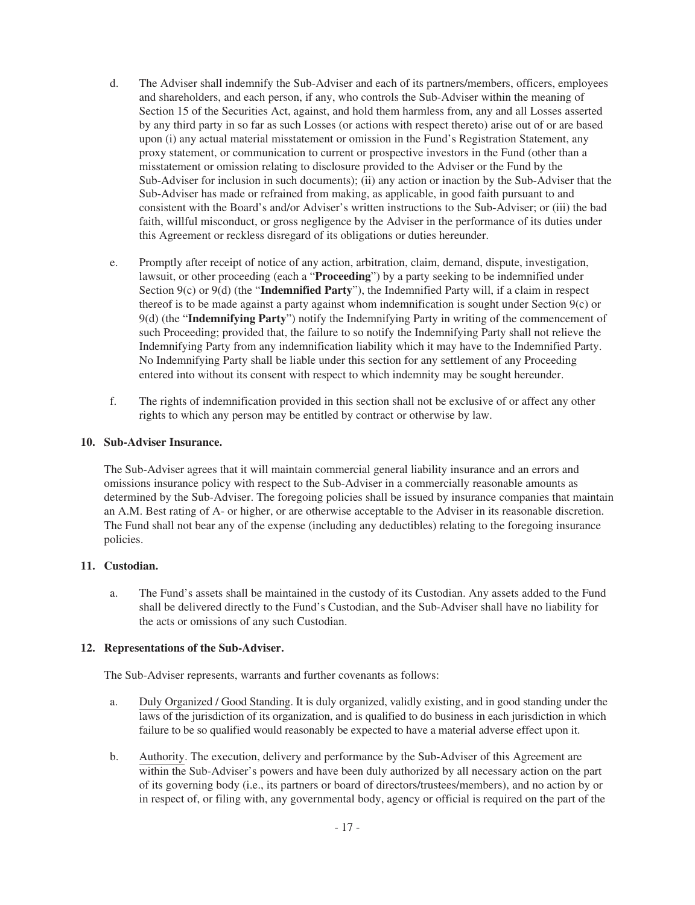- d. The Adviser shall indemnify the Sub-Adviser and each of its partners/members, officers, employees and shareholders, and each person, if any, who controls the Sub-Adviser within the meaning of Section 15 of the Securities Act, against, and hold them harmless from, any and all Losses asserted by any third party in so far as such Losses (or actions with respect thereto) arise out of or are based upon (i) any actual material misstatement or omission in the Fund's Registration Statement, any proxy statement, or communication to current or prospective investors in the Fund (other than a misstatement or omission relating to disclosure provided to the Adviser or the Fund by the Sub-Adviser for inclusion in such documents); (ii) any action or inaction by the Sub-Adviser that the Sub-Adviser has made or refrained from making, as applicable, in good faith pursuant to and consistent with the Board's and/or Adviser's written instructions to the Sub-Adviser; or (iii) the bad faith, willful misconduct, or gross negligence by the Adviser in the performance of its duties under this Agreement or reckless disregard of its obligations or duties hereunder.
- e. Promptly after receipt of notice of any action, arbitration, claim, demand, dispute, investigation, lawsuit, or other proceeding (each a "**Proceeding**") by a party seeking to be indemnified under Section 9(c) or 9(d) (the "**Indemnified Party**"), the Indemnified Party will, if a claim in respect thereof is to be made against a party against whom indemnification is sought under Section 9(c) or 9(d) (the "**Indemnifying Party**") notify the Indemnifying Party in writing of the commencement of such Proceeding; provided that, the failure to so notify the Indemnifying Party shall not relieve the Indemnifying Party from any indemnification liability which it may have to the Indemnified Party. No Indemnifying Party shall be liable under this section for any settlement of any Proceeding entered into without its consent with respect to which indemnity may be sought hereunder.
- f. The rights of indemnification provided in this section shall not be exclusive of or affect any other rights to which any person may be entitled by contract or otherwise by law.

# **10. Sub-Adviser Insurance.**

The Sub-Adviser agrees that it will maintain commercial general liability insurance and an errors and omissions insurance policy with respect to the Sub-Adviser in a commercially reasonable amounts as determined by the Sub-Adviser. The foregoing policies shall be issued by insurance companies that maintain an A.M. Best rating of A- or higher, or are otherwise acceptable to the Adviser in its reasonable discretion. The Fund shall not bear any of the expense (including any deductibles) relating to the foregoing insurance policies.

# **11. Custodian.**

a. The Fund's assets shall be maintained in the custody of its Custodian. Any assets added to the Fund shall be delivered directly to the Fund's Custodian, and the Sub-Adviser shall have no liability for the acts or omissions of any such Custodian.

### **12. Representations of the Sub-Adviser.**

The Sub-Adviser represents, warrants and further covenants as follows:

- a. Duly Organized / Good Standing. It is duly organized, validly existing, and in good standing under the laws of the jurisdiction of its organization, and is qualified to do business in each jurisdiction in which failure to be so qualified would reasonably be expected to have a material adverse effect upon it.
- b. Authority. The execution, delivery and performance by the Sub-Adviser of this Agreement are within the Sub-Adviser's powers and have been duly authorized by all necessary action on the part of its governing body (i.e., its partners or board of directors/trustees/members), and no action by or in respect of, or filing with, any governmental body, agency or official is required on the part of the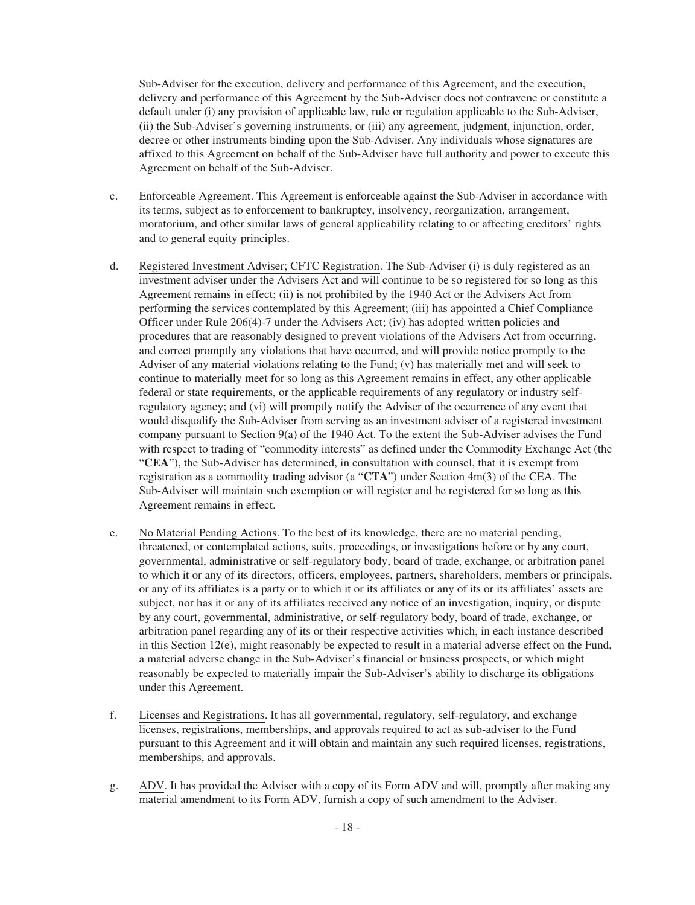Sub-Adviser for the execution, delivery and performance of this Agreement, and the execution, delivery and performance of this Agreement by the Sub-Adviser does not contravene or constitute a default under (i) any provision of applicable law, rule or regulation applicable to the Sub-Adviser, (ii) the Sub-Adviser's governing instruments, or (iii) any agreement, judgment, injunction, order, decree or other instruments binding upon the Sub-Adviser. Any individuals whose signatures are affixed to this Agreement on behalf of the Sub-Adviser have full authority and power to execute this Agreement on behalf of the Sub-Adviser.

- c. Enforceable Agreement. This Agreement is enforceable against the Sub-Adviser in accordance with its terms, subject as to enforcement to bankruptcy, insolvency, reorganization, arrangement, moratorium, and other similar laws of general applicability relating to or affecting creditors' rights and to general equity principles.
- d. Registered Investment Adviser; CFTC Registration. The Sub-Adviser (i) is duly registered as an investment adviser under the Advisers Act and will continue to be so registered for so long as this Agreement remains in effect; (ii) is not prohibited by the 1940 Act or the Advisers Act from performing the services contemplated by this Agreement; (iii) has appointed a Chief Compliance Officer under Rule 206(4)-7 under the Advisers Act; (iv) has adopted written policies and procedures that are reasonably designed to prevent violations of the Advisers Act from occurring, and correct promptly any violations that have occurred, and will provide notice promptly to the Adviser of any material violations relating to the Fund; (v) has materially met and will seek to continue to materially meet for so long as this Agreement remains in effect, any other applicable federal or state requirements, or the applicable requirements of any regulatory or industry selfregulatory agency; and (vi) will promptly notify the Adviser of the occurrence of any event that would disqualify the Sub-Adviser from serving as an investment adviser of a registered investment company pursuant to Section 9(a) of the 1940 Act. To the extent the Sub-Adviser advises the Fund with respect to trading of "commodity interests" as defined under the Commodity Exchange Act (the "**CEA**"), the Sub-Adviser has determined, in consultation with counsel, that it is exempt from registration as a commodity trading advisor (a "**CTA**") under Section 4m(3) of the CEA. The Sub-Adviser will maintain such exemption or will register and be registered for so long as this Agreement remains in effect.
- e. No Material Pending Actions. To the best of its knowledge, there are no material pending, threatened, or contemplated actions, suits, proceedings, or investigations before or by any court, governmental, administrative or self-regulatory body, board of trade, exchange, or arbitration panel to which it or any of its directors, officers, employees, partners, shareholders, members or principals, or any of its affiliates is a party or to which it or its affiliates or any of its or its affiliates' assets are subject, nor has it or any of its affiliates received any notice of an investigation, inquiry, or dispute by any court, governmental, administrative, or self-regulatory body, board of trade, exchange, or arbitration panel regarding any of its or their respective activities which, in each instance described in this Section 12(e), might reasonably be expected to result in a material adverse effect on the Fund, a material adverse change in the Sub-Adviser's financial or business prospects, or which might reasonably be expected to materially impair the Sub-Adviser's ability to discharge its obligations under this Agreement.
- f. Licenses and Registrations. It has all governmental, regulatory, self-regulatory, and exchange licenses, registrations, memberships, and approvals required to act as sub-adviser to the Fund pursuant to this Agreement and it will obtain and maintain any such required licenses, registrations, memberships, and approvals.
- g. ADV. It has provided the Adviser with a copy of its Form ADV and will, promptly after making any material amendment to its Form ADV, furnish a copy of such amendment to the Adviser.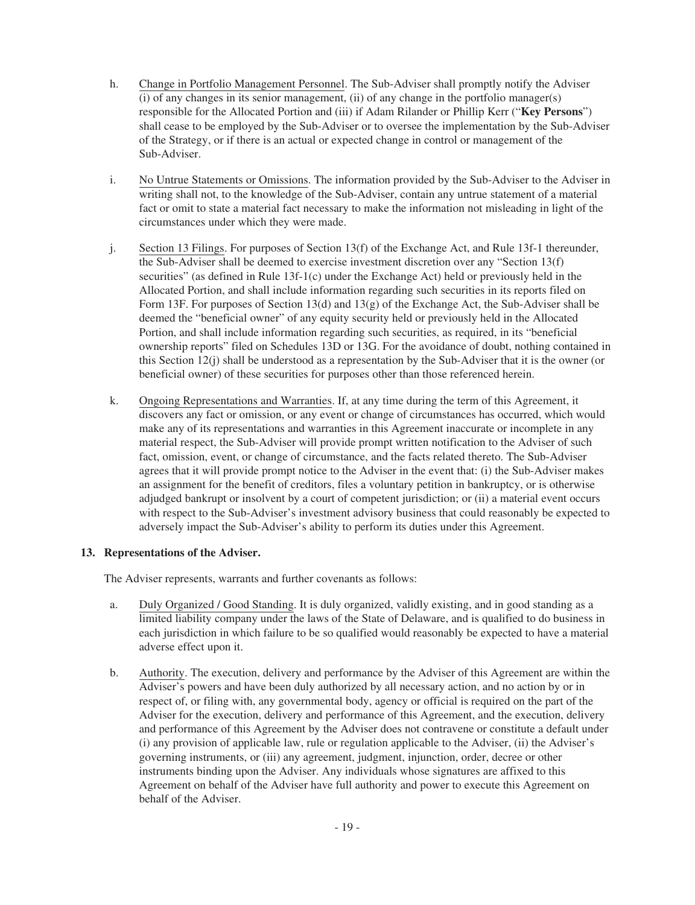- h. Change in Portfolio Management Personnel. The Sub-Adviser shall promptly notify the Adviser  $(i)$  of any changes in its senior management,  $(ii)$  of any change in the portfolio manager $(s)$ responsible for the Allocated Portion and (iii) if Adam Rilander or Phillip Kerr ("**Key Persons**") shall cease to be employed by the Sub-Adviser or to oversee the implementation by the Sub-Adviser of the Strategy, or if there is an actual or expected change in control or management of the Sub-Adviser.
- i. No Untrue Statements or Omissions. The information provided by the Sub-Adviser to the Adviser in writing shall not, to the knowledge of the Sub-Adviser, contain any untrue statement of a material fact or omit to state a material fact necessary to make the information not misleading in light of the circumstances under which they were made.
- j. Section 13 Filings. For purposes of Section 13(f) of the Exchange Act, and Rule 13f-1 thereunder, the Sub-Adviser shall be deemed to exercise investment discretion over any "Section 13(f) securities" (as defined in Rule 13f-1(c) under the Exchange Act) held or previously held in the Allocated Portion, and shall include information regarding such securities in its reports filed on Form 13F. For purposes of Section 13(d) and 13(g) of the Exchange Act, the Sub-Adviser shall be deemed the "beneficial owner" of any equity security held or previously held in the Allocated Portion, and shall include information regarding such securities, as required, in its "beneficial ownership reports" filed on Schedules 13D or 13G. For the avoidance of doubt, nothing contained in this Section 12(j) shall be understood as a representation by the Sub-Adviser that it is the owner (or beneficial owner) of these securities for purposes other than those referenced herein.
- k. Ongoing Representations and Warranties. If, at any time during the term of this Agreement, it discovers any fact or omission, or any event or change of circumstances has occurred, which would make any of its representations and warranties in this Agreement inaccurate or incomplete in any material respect, the Sub-Adviser will provide prompt written notification to the Adviser of such fact, omission, event, or change of circumstance, and the facts related thereto. The Sub-Adviser agrees that it will provide prompt notice to the Adviser in the event that: (i) the Sub-Adviser makes an assignment for the benefit of creditors, files a voluntary petition in bankruptcy, or is otherwise adjudged bankrupt or insolvent by a court of competent jurisdiction; or (ii) a material event occurs with respect to the Sub-Adviser's investment advisory business that could reasonably be expected to adversely impact the Sub-Adviser's ability to perform its duties under this Agreement.

# **13. Representations of the Adviser.**

The Adviser represents, warrants and further covenants as follows:

- a. Duly Organized / Good Standing. It is duly organized, validly existing, and in good standing as a limited liability company under the laws of the State of Delaware, and is qualified to do business in each jurisdiction in which failure to be so qualified would reasonably be expected to have a material adverse effect upon it.
- b. Authority. The execution, delivery and performance by the Adviser of this Agreement are within the Adviser's powers and have been duly authorized by all necessary action, and no action by or in respect of, or filing with, any governmental body, agency or official is required on the part of the Adviser for the execution, delivery and performance of this Agreement, and the execution, delivery and performance of this Agreement by the Adviser does not contravene or constitute a default under (i) any provision of applicable law, rule or regulation applicable to the Adviser, (ii) the Adviser's governing instruments, or (iii) any agreement, judgment, injunction, order, decree or other instruments binding upon the Adviser. Any individuals whose signatures are affixed to this Agreement on behalf of the Adviser have full authority and power to execute this Agreement on behalf of the Adviser.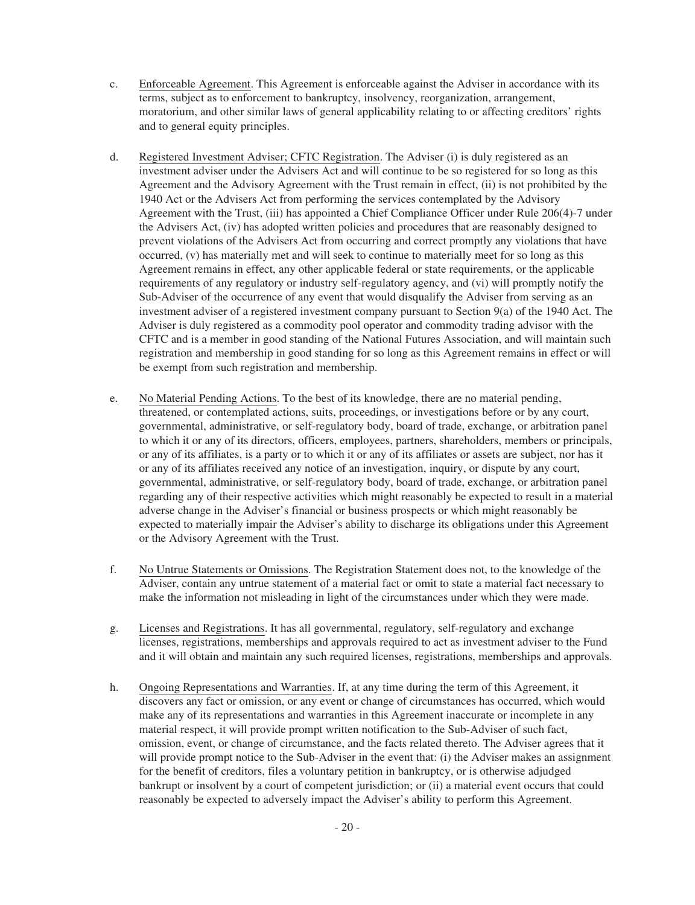- c. Enforceable Agreement. This Agreement is enforceable against the Adviser in accordance with its terms, subject as to enforcement to bankruptcy, insolvency, reorganization, arrangement, moratorium, and other similar laws of general applicability relating to or affecting creditors' rights and to general equity principles.
- d. Registered Investment Adviser; CFTC Registration. The Adviser (i) is duly registered as an investment adviser under the Advisers Act and will continue to be so registered for so long as this Agreement and the Advisory Agreement with the Trust remain in effect, (ii) is not prohibited by the 1940 Act or the Advisers Act from performing the services contemplated by the Advisory Agreement with the Trust, (iii) has appointed a Chief Compliance Officer under Rule 206(4)-7 under the Advisers Act, (iv) has adopted written policies and procedures that are reasonably designed to prevent violations of the Advisers Act from occurring and correct promptly any violations that have occurred, (v) has materially met and will seek to continue to materially meet for so long as this Agreement remains in effect, any other applicable federal or state requirements, or the applicable requirements of any regulatory or industry self-regulatory agency, and (vi) will promptly notify the Sub-Adviser of the occurrence of any event that would disqualify the Adviser from serving as an investment adviser of a registered investment company pursuant to Section 9(a) of the 1940 Act. The Adviser is duly registered as a commodity pool operator and commodity trading advisor with the CFTC and is a member in good standing of the National Futures Association, and will maintain such registration and membership in good standing for so long as this Agreement remains in effect or will be exempt from such registration and membership.
- e. No Material Pending Actions. To the best of its knowledge, there are no material pending, threatened, or contemplated actions, suits, proceedings, or investigations before or by any court, governmental, administrative, or self-regulatory body, board of trade, exchange, or arbitration panel to which it or any of its directors, officers, employees, partners, shareholders, members or principals, or any of its affiliates, is a party or to which it or any of its affiliates or assets are subject, nor has it or any of its affiliates received any notice of an investigation, inquiry, or dispute by any court, governmental, administrative, or self-regulatory body, board of trade, exchange, or arbitration panel regarding any of their respective activities which might reasonably be expected to result in a material adverse change in the Adviser's financial or business prospects or which might reasonably be expected to materially impair the Adviser's ability to discharge its obligations under this Agreement or the Advisory Agreement with the Trust.
- f. No Untrue Statements or Omissions. The Registration Statement does not, to the knowledge of the Adviser, contain any untrue statement of a material fact or omit to state a material fact necessary to make the information not misleading in light of the circumstances under which they were made.
- g. Licenses and Registrations. It has all governmental, regulatory, self-regulatory and exchange licenses, registrations, memberships and approvals required to act as investment adviser to the Fund and it will obtain and maintain any such required licenses, registrations, memberships and approvals.
- h. Ongoing Representations and Warranties. If, at any time during the term of this Agreement, it discovers any fact or omission, or any event or change of circumstances has occurred, which would make any of its representations and warranties in this Agreement inaccurate or incomplete in any material respect, it will provide prompt written notification to the Sub-Adviser of such fact, omission, event, or change of circumstance, and the facts related thereto. The Adviser agrees that it will provide prompt notice to the Sub-Adviser in the event that: (i) the Adviser makes an assignment for the benefit of creditors, files a voluntary petition in bankruptcy, or is otherwise adjudged bankrupt or insolvent by a court of competent jurisdiction; or (ii) a material event occurs that could reasonably be expected to adversely impact the Adviser's ability to perform this Agreement.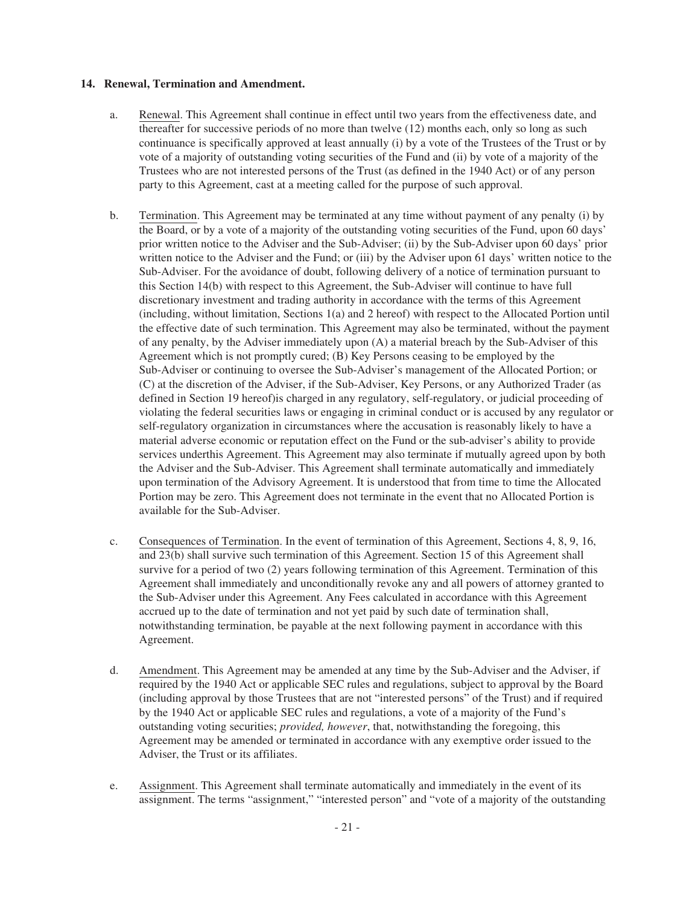### **14. Renewal, Termination and Amendment.**

- a. Renewal. This Agreement shall continue in effect until two years from the effectiveness date, and thereafter for successive periods of no more than twelve (12) months each, only so long as such continuance is specifically approved at least annually (i) by a vote of the Trustees of the Trust or by vote of a majority of outstanding voting securities of the Fund and (ii) by vote of a majority of the Trustees who are not interested persons of the Trust (as defined in the 1940 Act) or of any person party to this Agreement, cast at a meeting called for the purpose of such approval.
- b. Termination. This Agreement may be terminated at any time without payment of any penalty (i) by the Board, or by a vote of a majority of the outstanding voting securities of the Fund, upon 60 days' prior written notice to the Adviser and the Sub-Adviser; (ii) by the Sub-Adviser upon 60 days' prior written notice to the Adviser and the Fund; or (iii) by the Adviser upon 61 days' written notice to the Sub-Adviser. For the avoidance of doubt, following delivery of a notice of termination pursuant to this Section 14(b) with respect to this Agreement, the Sub-Adviser will continue to have full discretionary investment and trading authority in accordance with the terms of this Agreement (including, without limitation, Sections 1(a) and 2 hereof) with respect to the Allocated Portion until the effective date of such termination. This Agreement may also be terminated, without the payment of any penalty, by the Adviser immediately upon (A) a material breach by the Sub-Adviser of this Agreement which is not promptly cured; (B) Key Persons ceasing to be employed by the Sub-Adviser or continuing to oversee the Sub-Adviser's management of the Allocated Portion; or (C) at the discretion of the Adviser, if the Sub-Adviser, Key Persons, or any Authorized Trader (as defined in Section 19 hereof)is charged in any regulatory, self-regulatory, or judicial proceeding of violating the federal securities laws or engaging in criminal conduct or is accused by any regulator or self-regulatory organization in circumstances where the accusation is reasonably likely to have a material adverse economic or reputation effect on the Fund or the sub-adviser's ability to provide services underthis Agreement. This Agreement may also terminate if mutually agreed upon by both the Adviser and the Sub-Adviser. This Agreement shall terminate automatically and immediately upon termination of the Advisory Agreement. It is understood that from time to time the Allocated Portion may be zero. This Agreement does not terminate in the event that no Allocated Portion is available for the Sub-Adviser.
- c. Consequences of Termination. In the event of termination of this Agreement, Sections 4, 8, 9, 16, and 23(b) shall survive such termination of this Agreement. Section 15 of this Agreement shall survive for a period of two (2) years following termination of this Agreement. Termination of this Agreement shall immediately and unconditionally revoke any and all powers of attorney granted to the Sub-Adviser under this Agreement. Any Fees calculated in accordance with this Agreement accrued up to the date of termination and not yet paid by such date of termination shall, notwithstanding termination, be payable at the next following payment in accordance with this Agreement.
- d. Amendment. This Agreement may be amended at any time by the Sub-Adviser and the Adviser, if required by the 1940 Act or applicable SEC rules and regulations, subject to approval by the Board (including approval by those Trustees that are not "interested persons" of the Trust) and if required by the 1940 Act or applicable SEC rules and regulations, a vote of a majority of the Fund's outstanding voting securities; *provided, however*, that, notwithstanding the foregoing, this Agreement may be amended or terminated in accordance with any exemptive order issued to the Adviser, the Trust or its affiliates.
- e. Assignment. This Agreement shall terminate automatically and immediately in the event of its assignment. The terms "assignment," "interested person" and "vote of a majority of the outstanding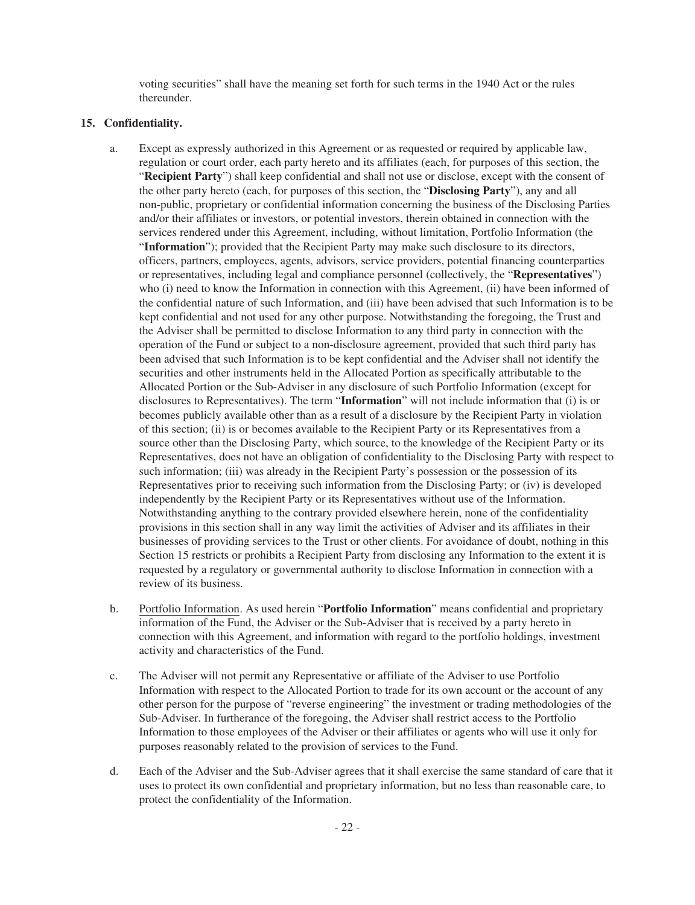voting securities" shall have the meaning set forth for such terms in the 1940 Act or the rules thereunder.

# **15. Confidentiality.**

- a. Except as expressly authorized in this Agreement or as requested or required by applicable law, regulation or court order, each party hereto and its affiliates (each, for purposes of this section, the "**Recipient Party**") shall keep confidential and shall not use or disclose, except with the consent of the other party hereto (each, for purposes of this section, the "**Disclosing Party**"), any and all non-public, proprietary or confidential information concerning the business of the Disclosing Parties and/or their affiliates or investors, or potential investors, therein obtained in connection with the services rendered under this Agreement, including, without limitation, Portfolio Information (the "Information"); provided that the Recipient Party may make such disclosure to its directors, officers, partners, employees, agents, advisors, service providers, potential financing counterparties or representatives, including legal and compliance personnel (collectively, the "**Representatives**") who (i) need to know the Information in connection with this Agreement, (ii) have been informed of the confidential nature of such Information, and (iii) have been advised that such Information is to be kept confidential and not used for any other purpose. Notwithstanding the foregoing, the Trust and the Adviser shall be permitted to disclose Information to any third party in connection with the operation of the Fund or subject to a non-disclosure agreement, provided that such third party has been advised that such Information is to be kept confidential and the Adviser shall not identify the securities and other instruments held in the Allocated Portion as specifically attributable to the Allocated Portion or the Sub-Adviser in any disclosure of such Portfolio Information (except for disclosures to Representatives). The term "**Information**" will not include information that (i) is or becomes publicly available other than as a result of a disclosure by the Recipient Party in violation of this section; (ii) is or becomes available to the Recipient Party or its Representatives from a source other than the Disclosing Party, which source, to the knowledge of the Recipient Party or its Representatives, does not have an obligation of confidentiality to the Disclosing Party with respect to such information; (iii) was already in the Recipient Party's possession or the possession of its Representatives prior to receiving such information from the Disclosing Party; or (iv) is developed independently by the Recipient Party or its Representatives without use of the Information. Notwithstanding anything to the contrary provided elsewhere herein, none of the confidentiality provisions in this section shall in any way limit the activities of Adviser and its affiliates in their businesses of providing services to the Trust or other clients. For avoidance of doubt, nothing in this Section 15 restricts or prohibits a Recipient Party from disclosing any Information to the extent it is requested by a regulatory or governmental authority to disclose Information in connection with a review of its business.
- b. Portfolio Information. As used herein "**Portfolio Information**" means confidential and proprietary information of the Fund, the Adviser or the Sub-Adviser that is received by a party hereto in connection with this Agreement, and information with regard to the portfolio holdings, investment activity and characteristics of the Fund.
- c. The Adviser will not permit any Representative or affiliate of the Adviser to use Portfolio Information with respect to the Allocated Portion to trade for its own account or the account of any other person for the purpose of "reverse engineering" the investment or trading methodologies of the Sub-Adviser. In furtherance of the foregoing, the Adviser shall restrict access to the Portfolio Information to those employees of the Adviser or their affiliates or agents who will use it only for purposes reasonably related to the provision of services to the Fund.
- d. Each of the Adviser and the Sub-Adviser agrees that it shall exercise the same standard of care that it uses to protect its own confidential and proprietary information, but no less than reasonable care, to protect the confidentiality of the Information.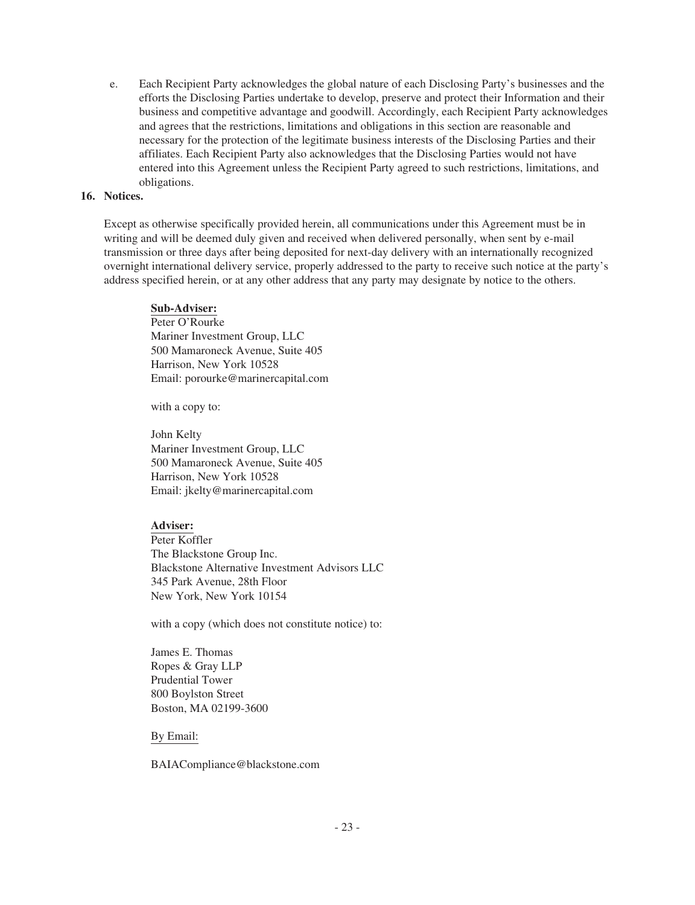e. Each Recipient Party acknowledges the global nature of each Disclosing Party's businesses and the efforts the Disclosing Parties undertake to develop, preserve and protect their Information and their business and competitive advantage and goodwill. Accordingly, each Recipient Party acknowledges and agrees that the restrictions, limitations and obligations in this section are reasonable and necessary for the protection of the legitimate business interests of the Disclosing Parties and their affiliates. Each Recipient Party also acknowledges that the Disclosing Parties would not have entered into this Agreement unless the Recipient Party agreed to such restrictions, limitations, and obligations.

### **16. Notices.**

Except as otherwise specifically provided herein, all communications under this Agreement must be in writing and will be deemed duly given and received when delivered personally, when sent by e-mail transmission or three days after being deposited for next-day delivery with an internationally recognized overnight international delivery service, properly addressed to the party to receive such notice at the party's address specified herein, or at any other address that any party may designate by notice to the others.

#### **Sub-Adviser:**

Peter O'Rourke Mariner Investment Group, LLC 500 Mamaroneck Avenue, Suite 405 Harrison, New York 10528 Email: porourke@marinercapital.com

with a copy to:

John Kelty Mariner Investment Group, LLC 500 Mamaroneck Avenue, Suite 405 Harrison, New York 10528 Email: jkelty@marinercapital.com

# **Adviser:**

Peter Koffler The Blackstone Group Inc. Blackstone Alternative Investment Advisors LLC 345 Park Avenue, 28th Floor New York, New York 10154

with a copy (which does not constitute notice) to:

James E. Thomas Ropes & Gray LLP Prudential Tower 800 Boylston Street Boston, MA 02199-3600

By Email:

BAIACompliance@blackstone.com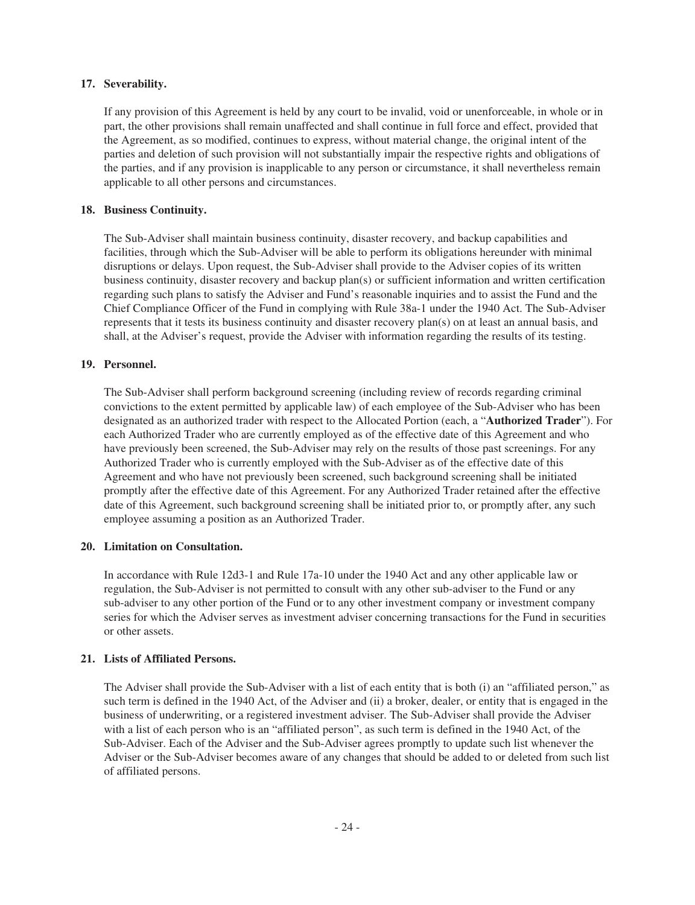### **17. Severability.**

If any provision of this Agreement is held by any court to be invalid, void or unenforceable, in whole or in part, the other provisions shall remain unaffected and shall continue in full force and effect, provided that the Agreement, as so modified, continues to express, without material change, the original intent of the parties and deletion of such provision will not substantially impair the respective rights and obligations of the parties, and if any provision is inapplicable to any person or circumstance, it shall nevertheless remain applicable to all other persons and circumstances.

# **18. Business Continuity.**

The Sub-Adviser shall maintain business continuity, disaster recovery, and backup capabilities and facilities, through which the Sub-Adviser will be able to perform its obligations hereunder with minimal disruptions or delays. Upon request, the Sub-Adviser shall provide to the Adviser copies of its written business continuity, disaster recovery and backup plan(s) or sufficient information and written certification regarding such plans to satisfy the Adviser and Fund's reasonable inquiries and to assist the Fund and the Chief Compliance Officer of the Fund in complying with Rule 38a-1 under the 1940 Act. The Sub-Adviser represents that it tests its business continuity and disaster recovery plan(s) on at least an annual basis, and shall, at the Adviser's request, provide the Adviser with information regarding the results of its testing.

# **19. Personnel.**

The Sub-Adviser shall perform background screening (including review of records regarding criminal convictions to the extent permitted by applicable law) of each employee of the Sub-Adviser who has been designated as an authorized trader with respect to the Allocated Portion (each, a "**Authorized Trader**"). For each Authorized Trader who are currently employed as of the effective date of this Agreement and who have previously been screened, the Sub-Adviser may rely on the results of those past screenings. For any Authorized Trader who is currently employed with the Sub-Adviser as of the effective date of this Agreement and who have not previously been screened, such background screening shall be initiated promptly after the effective date of this Agreement. For any Authorized Trader retained after the effective date of this Agreement, such background screening shall be initiated prior to, or promptly after, any such employee assuming a position as an Authorized Trader.

# **20. Limitation on Consultation.**

In accordance with Rule 12d3-1 and Rule 17a-10 under the 1940 Act and any other applicable law or regulation, the Sub-Adviser is not permitted to consult with any other sub-adviser to the Fund or any sub-adviser to any other portion of the Fund or to any other investment company or investment company series for which the Adviser serves as investment adviser concerning transactions for the Fund in securities or other assets.

# **21. Lists of Affiliated Persons.**

The Adviser shall provide the Sub-Adviser with a list of each entity that is both (i) an "affiliated person," as such term is defined in the 1940 Act, of the Adviser and (ii) a broker, dealer, or entity that is engaged in the business of underwriting, or a registered investment adviser. The Sub-Adviser shall provide the Adviser with a list of each person who is an "affiliated person", as such term is defined in the 1940 Act, of the Sub-Adviser. Each of the Adviser and the Sub-Adviser agrees promptly to update such list whenever the Adviser or the Sub-Adviser becomes aware of any changes that should be added to or deleted from such list of affiliated persons.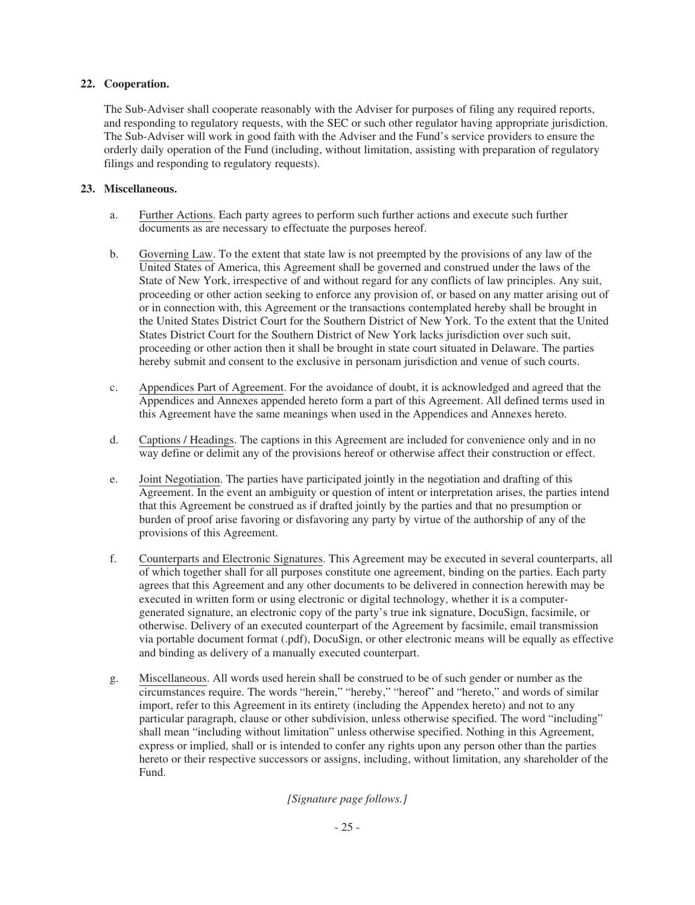# **22. Cooperation.**

The Sub-Adviser shall cooperate reasonably with the Adviser for purposes of filing any required reports, and responding to regulatory requests, with the SEC or such other regulator having appropriate jurisdiction. The Sub-Adviser will work in good faith with the Adviser and the Fund's service providers to ensure the orderly daily operation of the Fund (including, without limitation, assisting with preparation of regulatory filings and responding to regulatory requests).

# **23. Miscellaneous.**

- a. Further Actions. Each party agrees to perform such further actions and execute such further documents as are necessary to effectuate the purposes hereof.
- b. Governing Law. To the extent that state law is not preempted by the provisions of any law of the United States of America, this Agreement shall be governed and construed under the laws of the State of New York, irrespective of and without regard for any conflicts of law principles. Any suit, proceeding or other action seeking to enforce any provision of, or based on any matter arising out of or in connection with, this Agreement or the transactions contemplated hereby shall be brought in the United States District Court for the Southern District of New York. To the extent that the United States District Court for the Southern District of New York lacks jurisdiction over such suit, proceeding or other action then it shall be brought in state court situated in Delaware. The parties hereby submit and consent to the exclusive in personam jurisdiction and venue of such courts.
- c. Appendices Part of Agreement. For the avoidance of doubt, it is acknowledged and agreed that the Appendices and Annexes appended hereto form a part of this Agreement. All defined terms used in this Agreement have the same meanings when used in the Appendices and Annexes hereto.
- d. Captions / Headings. The captions in this Agreement are included for convenience only and in no way define or delimit any of the provisions hereof or otherwise affect their construction or effect.
- e. Joint Negotiation. The parties have participated jointly in the negotiation and drafting of this Agreement. In the event an ambiguity or question of intent or interpretation arises, the parties intend that this Agreement be construed as if drafted jointly by the parties and that no presumption or burden of proof arise favoring or disfavoring any party by virtue of the authorship of any of the provisions of this Agreement.
- f. Counterparts and Electronic Signatures. This Agreement may be executed in several counterparts, all of which together shall for all purposes constitute one agreement, binding on the parties. Each party agrees that this Agreement and any other documents to be delivered in connection herewith may be executed in written form or using electronic or digital technology, whether it is a computergenerated signature, an electronic copy of the party's true ink signature, DocuSign, facsimile, or otherwise. Delivery of an executed counterpart of the Agreement by facsimile, email transmission via portable document format (.pdf), DocuSign, or other electronic means will be equally as effective and binding as delivery of a manually executed counterpart.
- g. Miscellaneous. All words used herein shall be construed to be of such gender or number as the circumstances require. The words "herein," "hereby," "hereof" and "hereto," and words of similar import, refer to this Agreement in its entirety (including the Appendex hereto) and not to any particular paragraph, clause or other subdivision, unless otherwise specified. The word "including" shall mean "including without limitation" unless otherwise specified. Nothing in this Agreement, express or implied, shall or is intended to confer any rights upon any person other than the parties hereto or their respective successors or assigns, including, without limitation, any shareholder of the Fund.

# *[Signature page follows.]*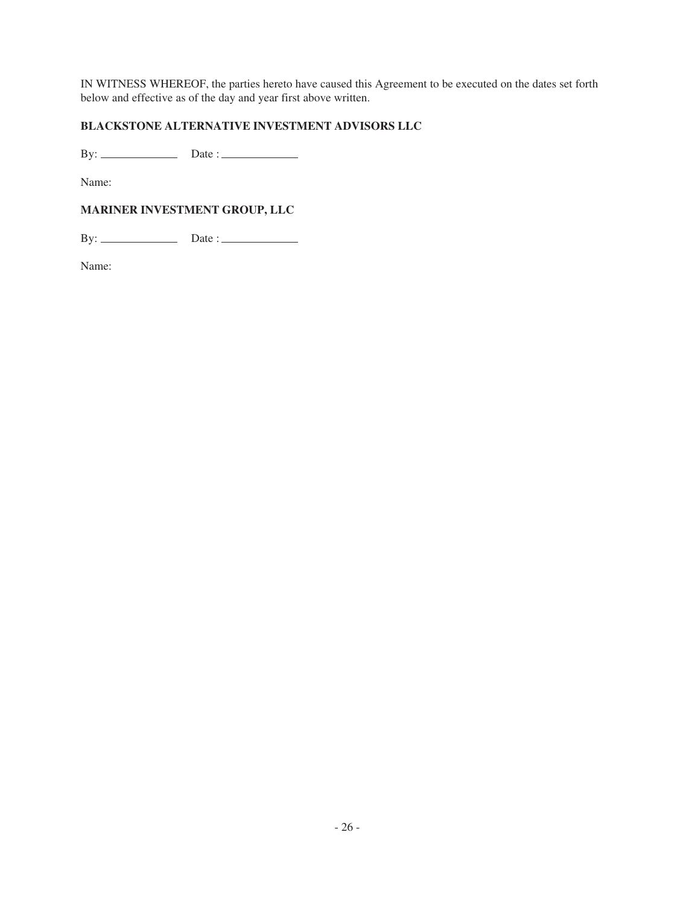IN WITNESS WHEREOF, the parties hereto have caused this Agreement to be executed on the dates set forth below and effective as of the day and year first above written.

# **BLACKSTONE ALTERNATIVE INVESTMENT ADVISORS LLC**

By: Date :

Name:

# **MARINER INVESTMENT GROUP, LLC**

By: Date :

Name: